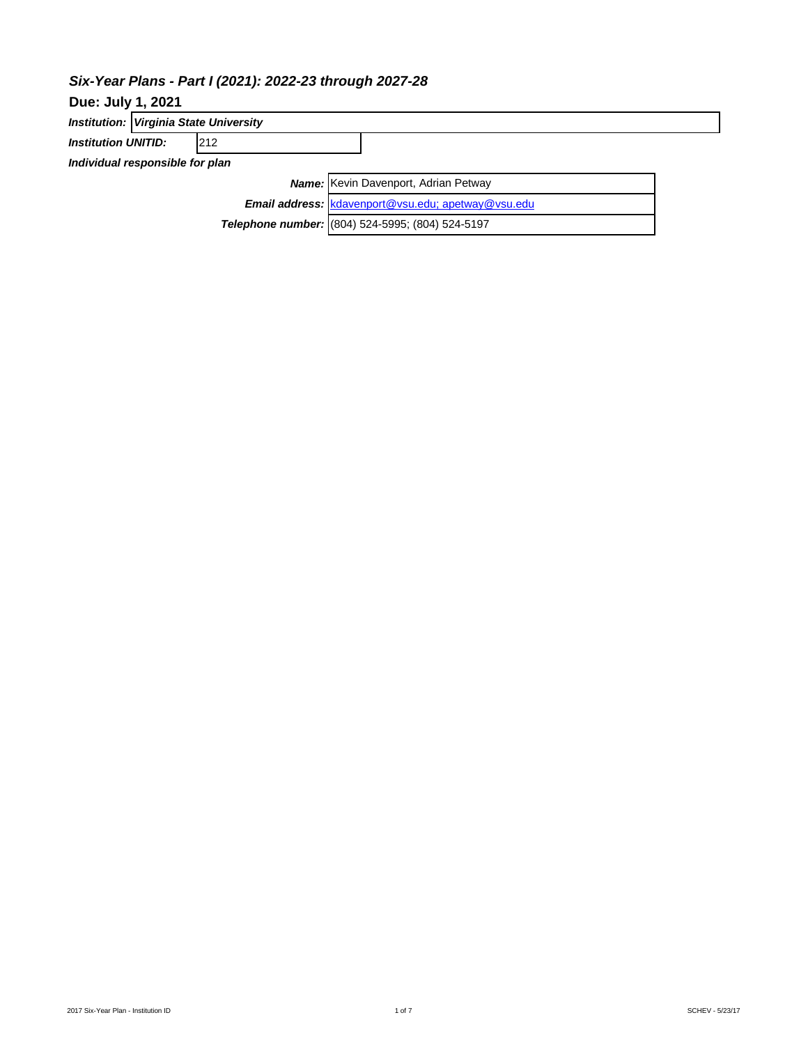# *Six-Year Plans - Part I (2021): 2022-23 through 2027-28*

|                                 | <b>Institution: Virginia State University</b> |            |                                                    |  |  |  |  |  |
|---------------------------------|-----------------------------------------------|------------|----------------------------------------------------|--|--|--|--|--|
| <b>Institution UNITID:</b>      |                                               | <b>212</b> |                                                    |  |  |  |  |  |
| Individual responsible for plan |                                               |            |                                                    |  |  |  |  |  |
|                                 |                                               |            | <b>Name:</b> Kevin Davenport, Adrian Petway        |  |  |  |  |  |
|                                 |                                               |            | Email address: kdavenport@vsu.edu; apetway@vsu.edu |  |  |  |  |  |
|                                 |                                               |            | Telephone number: (804) 524-5995; (804) 524-5197   |  |  |  |  |  |
|                                 |                                               |            |                                                    |  |  |  |  |  |

**Due: July 1, 2021**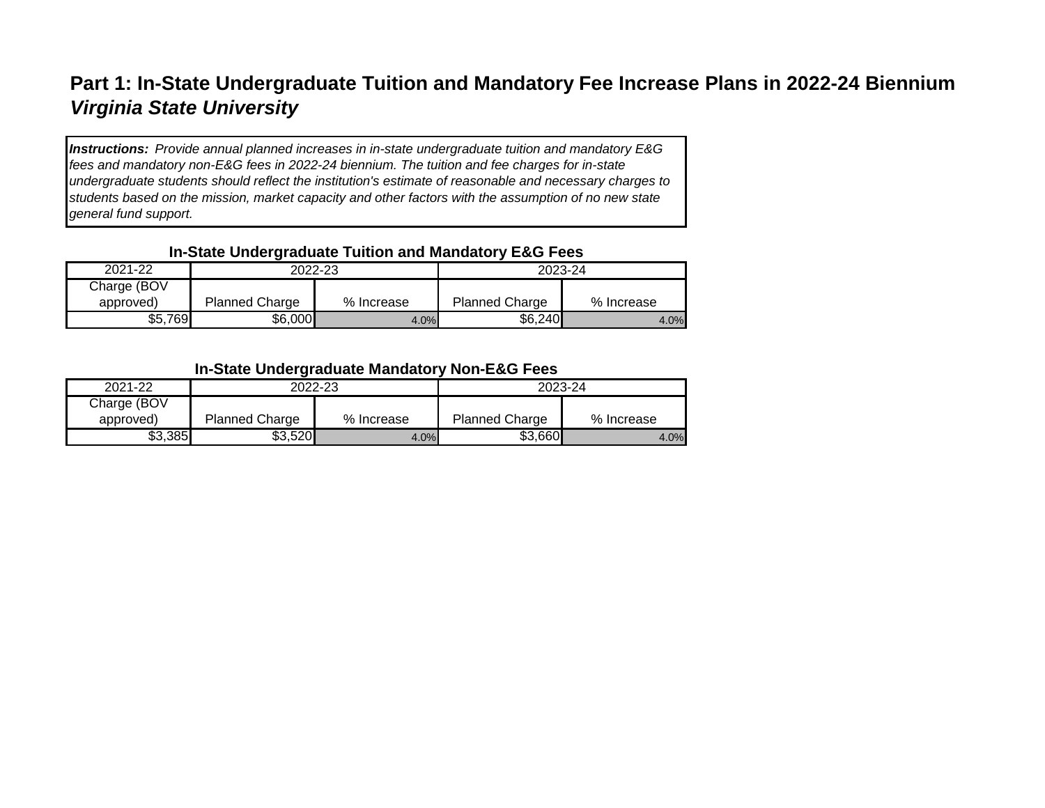# **Part 1: In-State Undergraduate Tuition and Mandatory Fee Increase Plans in 2022-24 Biennium** *Virginia State University*

*Instructions: Provide annual planned increases in in-state undergraduate tuition and mandatory E&G fees and mandatory non-E&G fees in 2022-24 biennium. The tuition and fee charges for in-state undergraduate students should reflect the institution's estimate of reasonable and necessary charges to students based on the mission, market capacity and other factors with the assumption of no new state general fund support.*

## **In-State Undergraduate Tuition and Mandatory E&G Fees**

|             | --                    |            |                       |            |  |
|-------------|-----------------------|------------|-----------------------|------------|--|
| 2021-22     | 2022-23               |            | 2023-24               |            |  |
| Charge (BOV |                       |            |                       |            |  |
| approved)   | <b>Planned Charge</b> | % Increase | <b>Planned Charge</b> | % Increase |  |
| \$5,769     | \$6,000               | 4.0%       | \$6,240               | 4.0%       |  |

## **In-State Undergraduate Mandatory Non-E&G Fees**

| 2021-22     | 2022-23               |            | 2023-24               |            |  |
|-------------|-----------------------|------------|-----------------------|------------|--|
| Charge (BOV |                       |            |                       |            |  |
| approved)   | <b>Planned Charge</b> | % Increase | <b>Planned Charge</b> | % Increase |  |
| \$3,385     | \$3,520               | 4.0%       | \$3,660               | 4.0%       |  |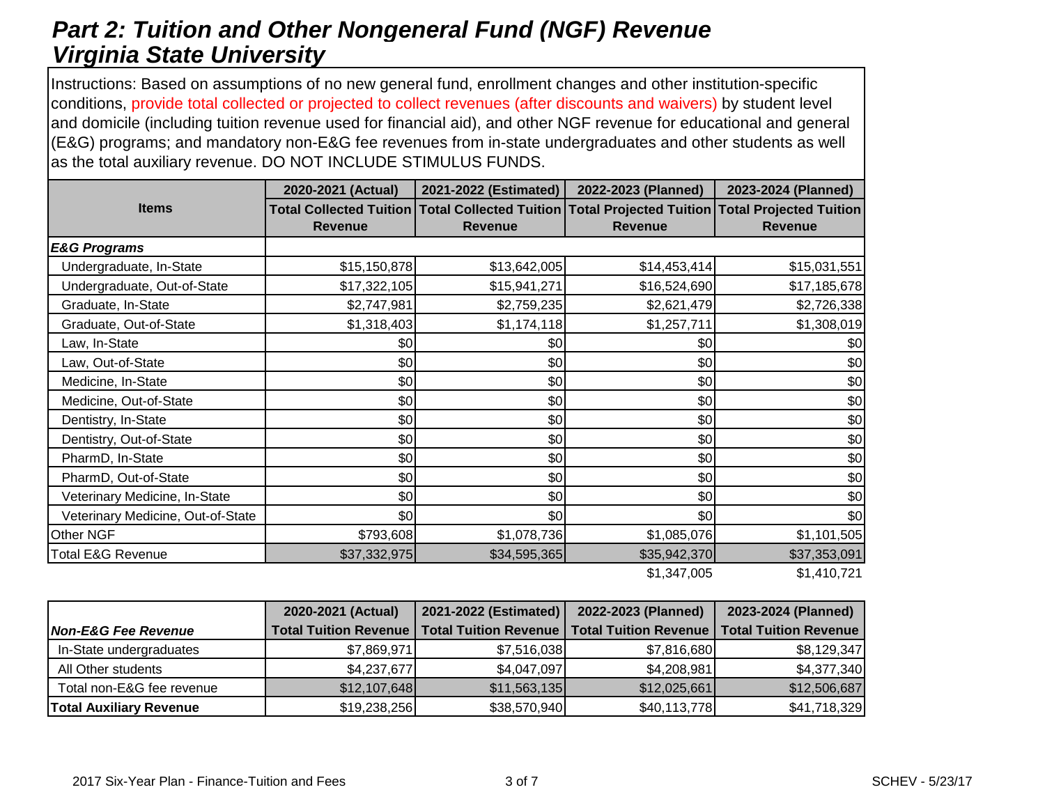# *Part 2: Tuition and Other Nongeneral Fund (NGF) Revenue Virginia State University*

Instructions: Based on assumptions of no new general fund, enrollment changes and other institution-specific conditions, provide total collected or projected to collect revenues (after discounts and waivers) by student level and domicile (including tuition revenue used for financial aid), and other NGF revenue for educational and general (E&G) programs; and mandatory non-E&G fee revenues from in-state undergraduates and other students as well as the total auxiliary revenue. DO NOT INCLUDE STIMULUS FUNDS.

|                                   | 2020-2021 (Actual) | 2021-2022 (Estimated) | 2022-2023 (Planned) | 2023-2024 (Planned)                                                                                               |
|-----------------------------------|--------------------|-----------------------|---------------------|-------------------------------------------------------------------------------------------------------------------|
| <b>Items</b>                      | <b>Revenue</b>     | <b>Revenue</b>        | <b>Revenue</b>      | Total Collected Tuition Total Collected Tuition Total Projected Tuition Total Projected Tuition<br><b>Revenue</b> |
| <b>E&amp;G Programs</b>           |                    |                       |                     |                                                                                                                   |
| Undergraduate, In-State           | \$15,150,878       | \$13,642,005          | \$14,453,414        | \$15,031,551                                                                                                      |
| Undergraduate, Out-of-State       | \$17,322,105       | \$15,941,271          | \$16,524,690        | \$17,185,678                                                                                                      |
| Graduate, In-State                | \$2,747,981        | \$2,759,235           | \$2,621,479         | \$2,726,338                                                                                                       |
| Graduate, Out-of-State            | \$1,318,403        | \$1,174,118           | \$1,257,711         | \$1,308,019                                                                                                       |
| Law, In-State                     | \$0                | \$0                   | \$0                 | \$0                                                                                                               |
| Law, Out-of-State                 | \$0                | \$0                   | \$0                 | \$0                                                                                                               |
| Medicine, In-State                | \$0                | \$0                   | \$0                 | \$0                                                                                                               |
| Medicine, Out-of-State            | \$0                | \$0                   | \$0                 | \$0                                                                                                               |
| Dentistry, In-State               | \$0                | \$0                   | \$0                 | \$0                                                                                                               |
| Dentistry, Out-of-State           | \$0                | \$0                   | \$0                 | \$0                                                                                                               |
| PharmD, In-State                  | \$0                | \$0                   | \$0                 | \$0                                                                                                               |
| PharmD, Out-of-State              | \$0                | \$0                   | \$0                 | \$0                                                                                                               |
| Veterinary Medicine, In-State     | \$0                | \$0                   | \$0                 | \$0                                                                                                               |
| Veterinary Medicine, Out-of-State | \$0                | \$0                   | \$0                 | \$0                                                                                                               |
| Other NGF                         | \$793,608          | \$1,078,736           | \$1,085,076         | \$1,101,505                                                                                                       |
| <b>Total E&amp;G Revenue</b>      | \$37,332,975       | \$34,595,365          | \$35,942,370        | \$37,353,091                                                                                                      |
|                                   |                    |                       | \$1,347,005         | \$1,410,721                                                                                                       |

| 2020-2021 (Actual)             |                              | 2021-2022 (Estimated)        | 2022-2023 (Planned) | 2023-2024 (Planned)                           |  |
|--------------------------------|------------------------------|------------------------------|---------------------|-----------------------------------------------|--|
| <b>Non-E&amp;G Fee Revenue</b> | <b>Total Tuition Revenue</b> | <b>Total Tuition Revenue</b> |                     | Total Tuition Revenue   Total Tuition Revenue |  |
| In-State undergraduates        | \$7,869,971                  | \$7,516,038                  | \$7,816,680         | \$8,129,347                                   |  |
| All Other students             | \$4,237,677                  | \$4,047,097                  | \$4,208,981         | \$4,377,340                                   |  |
| Total non-E&G fee revenue      | \$12,107,648                 | \$11,563,135                 | \$12,025,661        | \$12,506,687                                  |  |
| <b>Total Auxiliary Revenue</b> | \$19,238,256                 | \$38,570,940                 | \$40,113,778        | \$41,718,329                                  |  |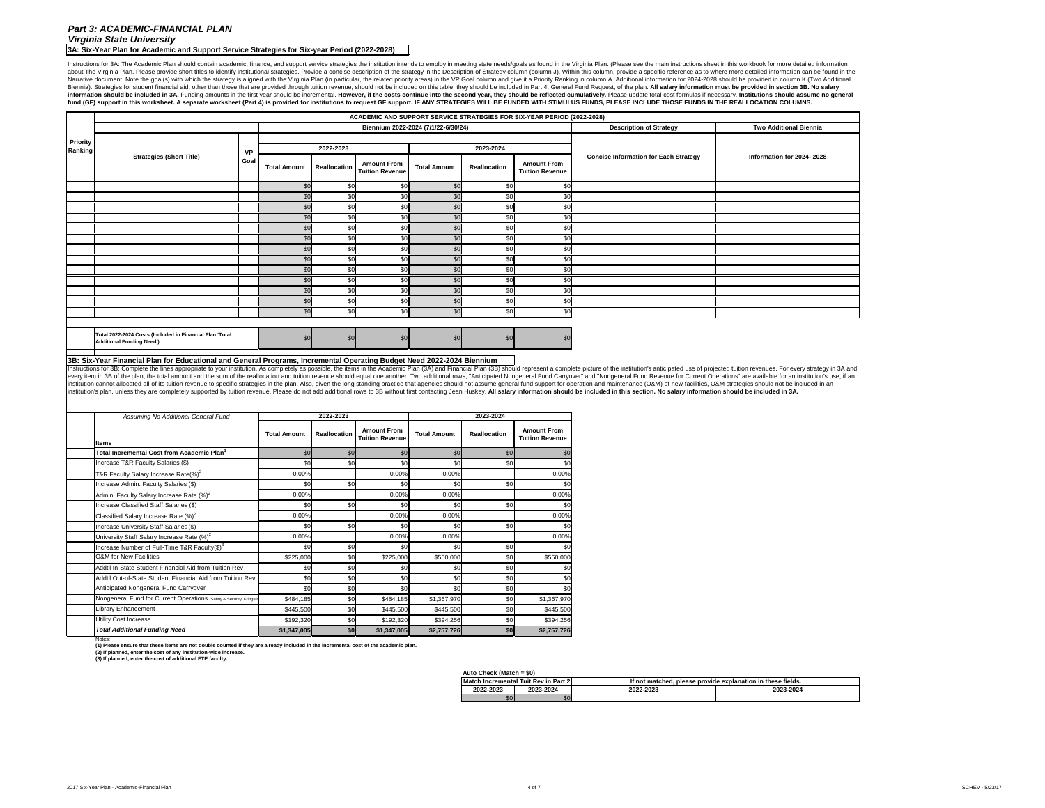**3A: Six-Year Plan for Academic and Support Service Strategies for Six-year Period (2022-2028)**

Instructions for 3A: The Academic Plan should contain academic, finance, and support service strategies the institution intends to employ in meeting state needs/goals as found in the Virginia Plan. (Please see the main ins about The Virginia Plan. Please provide short titles to identify institutional strategies. Provide a concise description of the strategy in the Description of Strategy column (column J). Within this column, provide a speci Narrative document. Note the goal(s) with which the strategy is aligned with the Virginia Plan (in particular, the related priority areas) in the VP Goal column and give it a Priority Ranking in column A. Additional inform Biennia). Strategies for student financial aid, other than those that are provided through tuition revenue, should not be included on this table; they should be included in Part 4, General Fund Request, of the plan. All sa information should be included in 3A. Funding amounts in the first year should be incremental. However, if the costs continue into the second year, they should be reflected cumulatively. Please update total cost formulas i fund (GF) support in this worksheet. A separate worksheet (Part 4) is provided for institutions to request GF support. IF ANY STRATEGIES WILL BE FUNDED WITH STIMULUS FUNDS, PLEASE INCLUDE THOSE FUNDS IN THE REALLOCATION CO

|               | 2022-2023           |                                              |                     | 2023-2024           |                                              |
|---------------|---------------------|----------------------------------------------|---------------------|---------------------|----------------------------------------------|
| <b>Imount</b> | <b>Reallocation</b> | <b>Amount From</b><br><b>Tuition Revenue</b> | <b>Total Amount</b> | <b>Reallocation</b> | <b>Amount From</b><br><b>Tuition Revenue</b> |
| \$0           | \$0                 | \$0                                          | \$0                 | \$0                 | \$0                                          |
| \$0           | \$0                 | \$0                                          | \$0                 | \$0                 | \$0                                          |
| 0.00%         |                     | 0.00%                                        | 0.00%               |                     | 0.00%                                        |
| \$0           | \$0                 | \$0                                          | \$0                 | \$0                 | \$0                                          |
| 0.00%         |                     | 0.00%                                        | 0.00%               |                     | 0.00%                                        |
| \$0           | \$0                 | \$0                                          | \$0                 | \$0                 | \$0                                          |
| 0.00%         |                     | 0.00%                                        | 0.00%               |                     | 0.00%                                        |
| \$0           | \$0                 | \$0                                          | \$0                 | \$0                 | \$0                                          |
| 0.00%         |                     | 0.00%                                        | 0.00%               |                     | 0.00%                                        |
| \$0           | \$0                 | \$0                                          | \$0                 | \$0                 | \$0                                          |
| \$225,000     | \$0                 | \$225,000                                    | \$550,000           | \$0                 | \$550,000                                    |
| \$0           | \$0                 | \$0                                          | \$0                 | \$0                 | \$0                                          |
| \$0           | \$0                 | \$0                                          | \$0                 | \$0                 | \$0                                          |
| \$0           | \$0                 | \$0                                          | \$0                 | \$0                 | \$0                                          |
| \$484,185     | \$0                 | \$484,185                                    | \$1,367,970         | \$0                 | \$1,367,970                                  |
| \$445,500     | \$0                 | \$445,500                                    | \$445,500           | \$0                 | \$445,500                                    |
| \$192,320     | \$0                 | \$192,320                                    | \$394,256           | \$0                 | \$394,256                                    |
| ,347,005      | \$0                 | \$1,347,005                                  | \$2,757,726         | \$0                 | \$2,757,726                                  |

**(3) If planned, enter the cost of additional FTE faculty.**

## **Auto Check (Match = \$0)**

# *Part 3: ACADEMIC-FINANCIAL PLAN Virginia State University*

| <b>Match</b> | ا Incremental Tuit Rev in Part 2 ا | If not matched, please provide explanation in these fields. |  |  |  |
|--------------|------------------------------------|-------------------------------------------------------------|--|--|--|
| 2022-2023    | 2023-2024                          | 2022-2023<br>2023-2024                                      |  |  |  |
| \$0          | \$0                                |                                                             |  |  |  |

Notes: **(1) Please ensure that these items are not double counted if they are already included in the incremental cost of the academic plan.**

|                 |                                                                                                                                                                                                                                                                                                                                                                                                                                                                                                                                                                                                                                                                                                    |                     |                     |                                              |                                     |                     |                                              | ACADEMIC AND SUPPORT SERVICE STRATEGIES FOR SIX-YEAR PERIOD (2022-2028) |                               |
|-----------------|----------------------------------------------------------------------------------------------------------------------------------------------------------------------------------------------------------------------------------------------------------------------------------------------------------------------------------------------------------------------------------------------------------------------------------------------------------------------------------------------------------------------------------------------------------------------------------------------------------------------------------------------------------------------------------------------------|---------------------|---------------------|----------------------------------------------|-------------------------------------|---------------------|----------------------------------------------|-------------------------------------------------------------------------|-------------------------------|
|                 |                                                                                                                                                                                                                                                                                                                                                                                                                                                                                                                                                                                                                                                                                                    |                     |                     |                                              | Biennium 2022-2024 (7/1/22-6/30/24) |                     |                                              | <b>Description of Strategy</b>                                          | <b>Two Additional Biennia</b> |
| <b>Priority</b> |                                                                                                                                                                                                                                                                                                                                                                                                                                                                                                                                                                                                                                                                                                    |                     |                     |                                              |                                     |                     |                                              |                                                                         |                               |
| Ranking         | <b>VP</b><br><b>Strategies (Short Title)</b>                                                                                                                                                                                                                                                                                                                                                                                                                                                                                                                                                                                                                                                       |                     | 2022-2023           |                                              |                                     | 2023-2024           |                                              | <b>Concise Information for Each Strategy</b>                            | Information for 2024-2028     |
|                 | Goal                                                                                                                                                                                                                                                                                                                                                                                                                                                                                                                                                                                                                                                                                               | <b>Total Amount</b> | <b>Reallocation</b> | <b>Amount From</b><br><b>Tuition Revenue</b> | <b>Total Amount</b>                 | <b>Reallocation</b> | <b>Amount From</b><br><b>Tuition Revenue</b> |                                                                         |                               |
|                 |                                                                                                                                                                                                                                                                                                                                                                                                                                                                                                                                                                                                                                                                                                    | \$0                 | \$0                 | <b>\$0</b>                                   | \$0                                 | \$0                 | \$0                                          |                                                                         |                               |
|                 |                                                                                                                                                                                                                                                                                                                                                                                                                                                                                                                                                                                                                                                                                                    | \$0                 | \$0                 | \$0                                          | \$0                                 | \$0                 | \$0                                          |                                                                         |                               |
|                 |                                                                                                                                                                                                                                                                                                                                                                                                                                                                                                                                                                                                                                                                                                    | \$0                 | \$0                 |                                              | \$0                                 | \$0                 | \$0                                          |                                                                         |                               |
|                 |                                                                                                                                                                                                                                                                                                                                                                                                                                                                                                                                                                                                                                                                                                    | \$0                 | \$0                 | \$0                                          | \$0                                 | \$0                 | \$0                                          |                                                                         |                               |
|                 |                                                                                                                                                                                                                                                                                                                                                                                                                                                                                                                                                                                                                                                                                                    | \$0                 | \$0                 | \$0                                          | \$0                                 | \$0                 | \$0                                          |                                                                         |                               |
|                 |                                                                                                                                                                                                                                                                                                                                                                                                                                                                                                                                                                                                                                                                                                    | \$0                 | \$0                 |                                              | \$0                                 | \$0                 | \$0                                          |                                                                         |                               |
|                 |                                                                                                                                                                                                                                                                                                                                                                                                                                                                                                                                                                                                                                                                                                    | \$0                 | \$0                 |                                              | \$0                                 | \$0                 | \$0                                          |                                                                         |                               |
|                 |                                                                                                                                                                                                                                                                                                                                                                                                                                                                                                                                                                                                                                                                                                    | \$0                 | \$0                 | \$0                                          | \$0                                 | \$0                 | \$0                                          |                                                                         |                               |
|                 |                                                                                                                                                                                                                                                                                                                                                                                                                                                                                                                                                                                                                                                                                                    | \$0                 | \$0                 | \$0                                          | \$0                                 | \$0                 | \$0                                          |                                                                         |                               |
|                 |                                                                                                                                                                                                                                                                                                                                                                                                                                                                                                                                                                                                                                                                                                    | \$0                 | \$0                 |                                              | \$0                                 | \$0                 | \$0                                          |                                                                         |                               |
|                 |                                                                                                                                                                                                                                                                                                                                                                                                                                                                                                                                                                                                                                                                                                    | \$0                 | \$0                 | \$0                                          | \$0                                 | \$0                 | \$0                                          |                                                                         |                               |
|                 |                                                                                                                                                                                                                                                                                                                                                                                                                                                                                                                                                                                                                                                                                                    | \$0                 | \$0                 | \$0                                          | \$0                                 | \$0                 | \$0                                          |                                                                         |                               |
|                 |                                                                                                                                                                                                                                                                                                                                                                                                                                                                                                                                                                                                                                                                                                    | \$0                 | \$0                 | <b>\$0</b>                                   | \$0                                 | \$0                 | \$0                                          |                                                                         |                               |
|                 | Total 2022-2024 Costs (Included in Financial Plan 'Total                                                                                                                                                                                                                                                                                                                                                                                                                                                                                                                                                                                                                                           |                     |                     |                                              |                                     |                     |                                              |                                                                         |                               |
|                 | <b>Additional Funding Need')</b>                                                                                                                                                                                                                                                                                                                                                                                                                                                                                                                                                                                                                                                                   | \$0                 | \$0                 | \$0                                          | \$0                                 | \$0                 |                                              |                                                                         |                               |
|                 | 3B: Six-Year Financial Plan for Educational and General Programs, Incremental Operating Budget Need 2022-2024 Biennium                                                                                                                                                                                                                                                                                                                                                                                                                                                                                                                                                                             |                     |                     |                                              |                                     |                     |                                              |                                                                         |                               |
|                 | every item in 3B of the plan, the total amount and the sum of the reallocation and tuition revenue should equal one another. Two additional rows, "Anticipated Nongeneral Fund Carryover" and "Nongeneral Fund Revenue for Cur<br>Institution cannot allocated all of its tuition revenue to specific strategies in the plan. Also, given the long standing practice that agencies should not assume general fund support for operation and maintenance (O&M) of<br>institution's plan, unless they are completely supported by tuition revenue. Please do not add additional rows to 3B without first contacting Jean Huskey. All salary information should be included in this section. No salar |                     |                     |                                              |                                     |                     |                                              |                                                                         |                               |
|                 | Assuming No Additional General Fund                                                                                                                                                                                                                                                                                                                                                                                                                                                                                                                                                                                                                                                                |                     | 2022-2023           |                                              |                                     | 2023-2024           |                                              |                                                                         |                               |
|                 | lltems                                                                                                                                                                                                                                                                                                                                                                                                                                                                                                                                                                                                                                                                                             | <b>Total Amount</b> | <b>Reallocation</b> | <b>Amount From</b><br><b>Tuition Revenue</b> | <b>Total Amount</b>                 | <b>Reallocation</b> | <b>Amount From</b>                           |                                                                         |                               |
|                 | Total Incremental Cost from Academic Plan $^{\mathsf{1}}$                                                                                                                                                                                                                                                                                                                                                                                                                                                                                                                                                                                                                                          | \$0                 | \$0                 | \$0                                          |                                     |                     | <b>Tuition Revenue</b>                       |                                                                         |                               |
|                 | Increase T&R Faculty Salaries (\$)                                                                                                                                                                                                                                                                                                                                                                                                                                                                                                                                                                                                                                                                 | \$0                 | \$0                 |                                              | \$0                                 | \$0                 |                                              |                                                                         |                               |
|                 | T&R Faculty Salary Increase Rate(%) <sup>2</sup>                                                                                                                                                                                                                                                                                                                                                                                                                                                                                                                                                                                                                                                   | 0.00%               |                     |                                              | \$C                                 | \$0                 |                                              |                                                                         |                               |
|                 | Increase Admin. Faculty Salaries (\$)                                                                                                                                                                                                                                                                                                                                                                                                                                                                                                                                                                                                                                                              |                     |                     | 0.00%                                        | 0.00%                               |                     | 0.00%                                        |                                                                         |                               |
|                 |                                                                                                                                                                                                                                                                                                                                                                                                                                                                                                                                                                                                                                                                                                    | \$0                 | \$0                 | \$C                                          | \$0                                 | \$0                 | \$0                                          |                                                                         |                               |
|                 | Admin. Faculty Salary Increase Rate $(\%)^2$                                                                                                                                                                                                                                                                                                                                                                                                                                                                                                                                                                                                                                                       | 0.00%               |                     | 0.00%                                        | 0.00%                               |                     | 0.00%                                        |                                                                         |                               |
|                 | Increase Classified Staff Salaries (\$)                                                                                                                                                                                                                                                                                                                                                                                                                                                                                                                                                                                                                                                            | \$0                 | \$0                 | \$0                                          | \$0                                 | \$0                 |                                              |                                                                         |                               |
|                 | Classified Salary Increase Rate $(\%)^2$                                                                                                                                                                                                                                                                                                                                                                                                                                                                                                                                                                                                                                                           | 0.00%               |                     | 0.00%                                        | 0.00%                               |                     | 0.00%                                        |                                                                         |                               |
|                 | Increase University Staff Salaries (\$)                                                                                                                                                                                                                                                                                                                                                                                                                                                                                                                                                                                                                                                            | \$0                 | \$ <sub>0</sub>     | \$0                                          | \$0                                 | \$0                 | \$0                                          |                                                                         |                               |
|                 | University Staff Salary Increase Rate $(\%)^2$                                                                                                                                                                                                                                                                                                                                                                                                                                                                                                                                                                                                                                                     | 0.00%               |                     | 0.00%                                        | 0.00%                               |                     | 0.00%                                        |                                                                         |                               |
|                 | Increase Number of Full-Time T&R Faculty(\$) $3$                                                                                                                                                                                                                                                                                                                                                                                                                                                                                                                                                                                                                                                   | \$0                 | \$0                 |                                              | \$0                                 | \$0                 |                                              |                                                                         |                               |
|                 | O&M for New Facilities                                                                                                                                                                                                                                                                                                                                                                                                                                                                                                                                                                                                                                                                             | \$225,000           | \$0                 | \$225,000                                    | \$550,000                           | \$0                 | \$550,000                                    |                                                                         |                               |
|                 | Addt'l In-State Student Financial Aid from Tuition Rev                                                                                                                                                                                                                                                                                                                                                                                                                                                                                                                                                                                                                                             | \$(                 |                     |                                              |                                     | \$0                 |                                              |                                                                         |                               |
|                 | Addt'l Out-of-State Student Financial Aid from Tuition Rev                                                                                                                                                                                                                                                                                                                                                                                                                                                                                                                                                                                                                                         | \$0                 | \$0                 | ึง∪∎                                         | \$0                                 | PUL                 | ას                                           |                                                                         |                               |
|                 | Anticipated Nongeneral Fund Carryover                                                                                                                                                                                                                                                                                                                                                                                                                                                                                                                                                                                                                                                              | \$0                 | \$0                 |                                              | \$0                                 | \$0                 |                                              |                                                                         |                               |
|                 | Nongeneral Fund for Current Operations (Safety & Security; Fringe E                                                                                                                                                                                                                                                                                                                                                                                                                                                                                                                                                                                                                                | \$484,185           | \$0                 | \$484,185                                    | \$1,367,970                         | \$0                 | \$1,367,970                                  |                                                                         |                               |

**(2) If planned, enter the cost of any institution-wide increase.** 

Utility Cost Increase

*Total Additional Funding Need*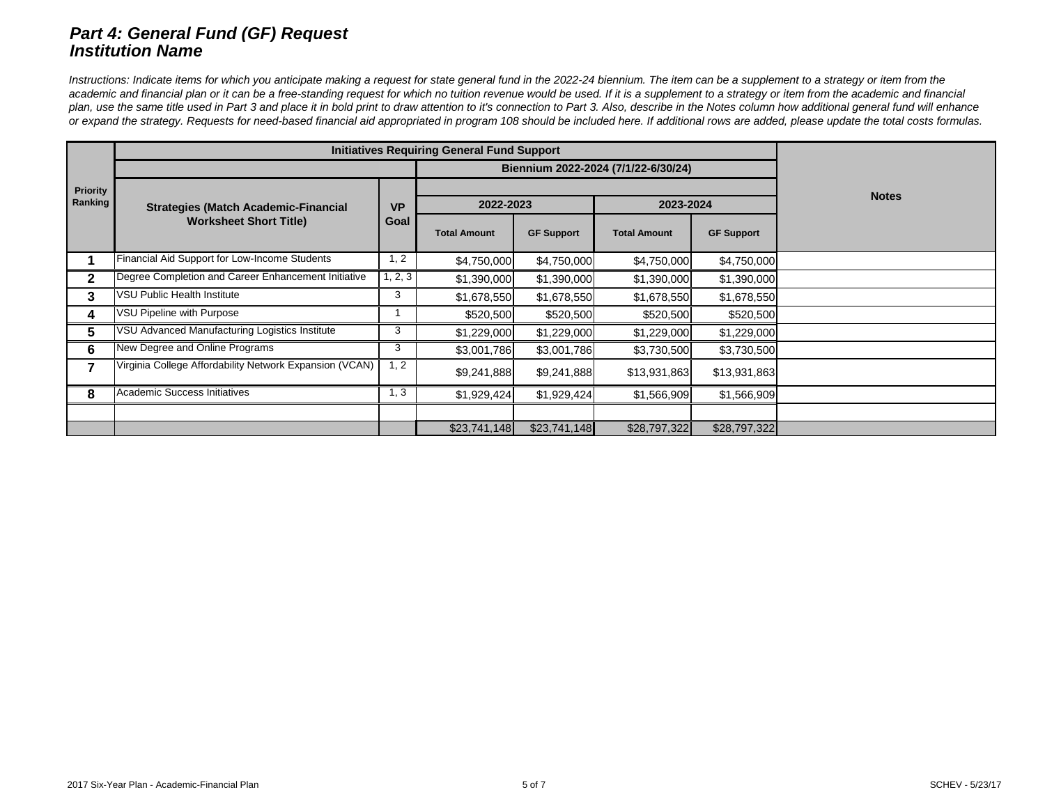# *Part 4: General Fund (GF) Request Institution Name*

Instructions: Indicate items for which you anticipate making a request for state general fund in the 2022-24 biennium. The item can be a supplement to a strategy or item from the academic and financial plan or it can be a free-standing request for which no tuition revenue would be used. If it is a supplement to a strategy or item from the academic and financial plan, use the same title used in Part 3 and place it in bold print to draw attention to it's connection to Part 3. Also, describe in the Notes column how additional general fund will enhance *or expand the strategy. Requests for need-based financial aid appropriated in program 108 should be included here. If additional rows are added, please update the total costs formulas.*

|                            |                                                         |                   | <b>Initiatives Requiring General Fund Support</b> |                   |                                     |                   |              |
|----------------------------|---------------------------------------------------------|-------------------|---------------------------------------------------|-------------------|-------------------------------------|-------------------|--------------|
|                            |                                                         |                   |                                                   |                   | Biennium 2022-2024 (7/1/22-6/30/24) |                   |              |
| <b>Priority</b><br>Ranking | <b>Strategies (Match Academic-Financial</b>             |                   | 2022-2023                                         |                   | 2023-2024                           |                   | <b>Notes</b> |
|                            | <b>Worksheet Short Title)</b>                           | Goal              | <b>Total Amount</b>                               | <b>GF Support</b> | <b>Total Amount</b>                 | <b>GF Support</b> |              |
|                            | Financial Aid Support for Low-Income Students           | 1, 2              | \$4,750,000                                       | \$4,750,000       | \$4,750,000                         | \$4,750,000       |              |
|                            | Degree Completion and Career Enhancement Initiative     | 1, 2, 3           | \$1,390,000                                       | \$1,390,000       | \$1,390,000                         | \$1,390,000       |              |
| 3                          | <b>VSU Public Health Institute</b>                      | 3                 | \$1,678,550                                       | \$1,678,550       | \$1,678,550                         | \$1,678,550       |              |
| 4                          | <b>VSU Pipeline with Purpose</b>                        |                   | \$520,500                                         | \$520,500         | \$520,500                           | \$520,500         |              |
| 5                          | VSU Advanced Manufacturing Logistics Institute          | 3                 | \$1,229,000                                       | \$1,229,000       | \$1,229,000                         | \$1,229,000       |              |
| 6                          | New Degree and Online Programs                          | 3                 | \$3,001,786                                       | \$3,001,786       | \$3,730,500                         | \$3,730,500       |              |
|                            | Virginia College Affordability Network Expansion (VCAN) | $1, \overline{2}$ | \$9,241,888                                       | \$9,241,888       | \$13,931,863                        | \$13,931,863      |              |
| 8                          | Academic Success Initiatives                            | 1, 3              | \$1,929,424                                       | \$1,929,424       | \$1,566,909                         | \$1,566,909       |              |
|                            |                                                         |                   |                                                   |                   |                                     |                   |              |
|                            |                                                         |                   | \$23,741,148                                      | \$23,741,148      | \$28,797,322                        | \$28,797,322      |              |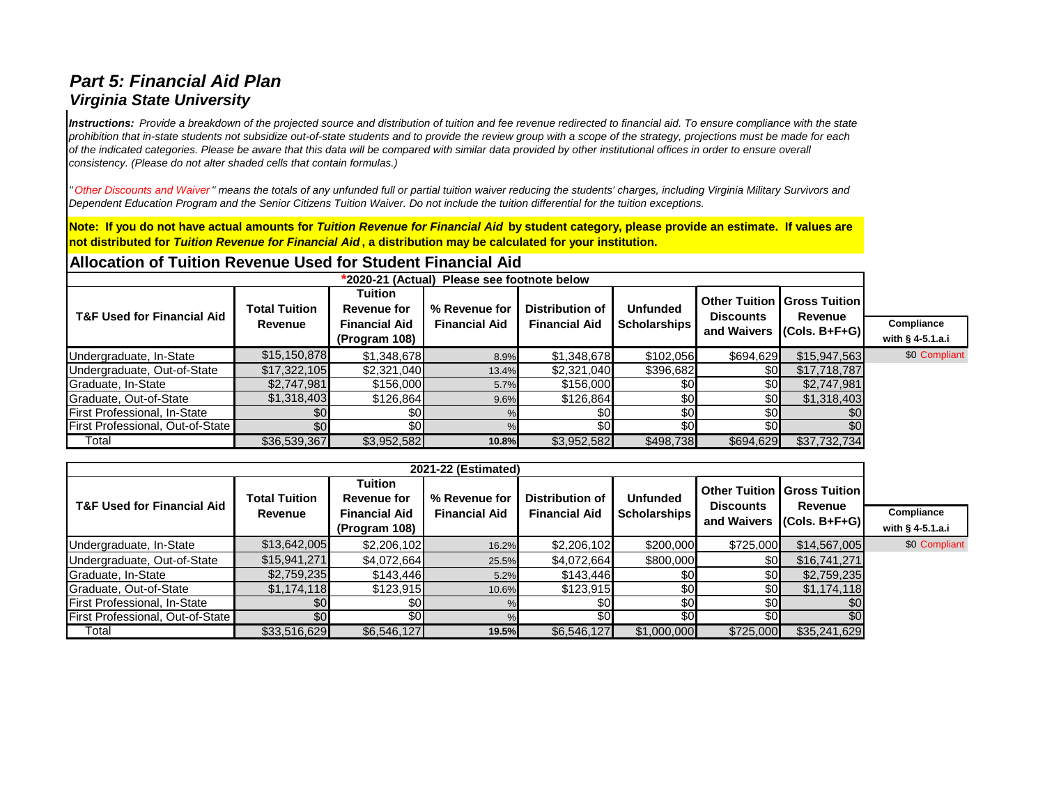# *Part 5: Financial Aid Plan Virginia State University*

*Instructions: Provide a breakdown of the projected source and distribution of tuition and fee revenue redirected to financial aid. To ensure compliance with the state prohibition that in-state students not subsidize out-of-state students and to provide the review group with a scope of the strategy, projections must be made for each of the indicated categories. Please be aware that this data will be compared with similar data provided by other institutional offices in order to ensure overall consistency. (Please do not alter shaded cells that contain formulas.)*

*" Other Discounts and Waiver " means the totals of any unfunded full or partial tuition waiver reducing the students' charges, including Virginia Military Survivors and Dependent Education Program and the Senior Citizens Tuition Waiver. Do not include the tuition differential for the tuition exceptions.*

**Note: If you do not have actual amounts for** *Tuition Revenue for Financial Aid* **by student category, please provide an estimate. If values are not distributed for** *Tuition Revenue for Financial Aid* **, a distribution may be calculated for your institution.** 

## **Allocation of Tuition Revenue Used for Student Financial Aid**

| *2020-21 (Actual) Please see footnote below |                      |                               |                      |                        |                       |                  |                                                          |                    |  |  |
|---------------------------------------------|----------------------|-------------------------------|----------------------|------------------------|-----------------------|------------------|----------------------------------------------------------|--------------------|--|--|
| <b>T&amp;F Used for Financial Aid</b>       | <b>Total Tuition</b> | Tuition<br><b>Revenue for</b> | % Revenue for        | <b>Distribution of</b> | <b>Unfunded</b>       | <b>Discounts</b> | <b>Other Tuition   Gross Tuition  </b><br><b>Revenue</b> |                    |  |  |
|                                             | <b>Revenue</b>       | <b>Financial Aid</b>          | <b>Financial Aid</b> | <b>Financial Aid</b>   | <b>Scholarships  </b> |                  | and Waivers $ $ (Cols. B+F+G) $ $                        | Compliance         |  |  |
|                                             |                      | (Program 108)                 |                      |                        |                       |                  |                                                          | with $§$ 4-5.1.a.i |  |  |
| Undergraduate, In-State                     | \$15, 150, 878       | \$1,348,678                   | 8.9%                 | \$1,348,678            | \$102,056             | \$694,629        | \$15,947,563                                             | \$0 Compliant      |  |  |
| Undergraduate, Out-of-State                 | \$17,322,105         | \$2,321,040                   | 13.4%                | \$2,321,040            | \$396,682             | \$0 <sub>l</sub> | \$17,718,787                                             |                    |  |  |
| Graduate, In-State                          | \$2,747,981          | \$156,000                     | 5.7%                 | \$156,000              |                       | \$0              | \$2,747,981                                              |                    |  |  |
| Graduate, Out-of-State                      | \$1,318,403          | \$126,864                     | 9.6%                 | \$126,864              |                       | \$0              | \$1,318,403                                              |                    |  |  |
| First Professional, In-State                | \$0                  | \$0 <sub>l</sub>              |                      | \$0                    |                       | \$0              |                                                          |                    |  |  |
| First Professional, Out-of-State            | \$0                  | $\overline{50}$               |                      | \$0                    |                       | \$0              |                                                          |                    |  |  |
| Total                                       | \$36,539,367         | \$3,952,582                   | 10.8%                | \$3,952,582            | \$498,738             | \$694,629        | \$37,732,734                                             |                    |  |  |

| 2021-22 (Estimated)                   |                                 |                                                                               |                                       |                                                |                                        |                                 |                                                                               |                                  |  |
|---------------------------------------|---------------------------------|-------------------------------------------------------------------------------|---------------------------------------|------------------------------------------------|----------------------------------------|---------------------------------|-------------------------------------------------------------------------------|----------------------------------|--|
| <b>T&amp;F Used for Financial Aid</b> | <b>Total Tuition</b><br>Revenue | <b>Tuition</b><br><b>Revenue for</b><br><b>Financial Aid</b><br>(Program 108) | % Revenue for<br><b>Financial Aid</b> | <b>Distribution of</b><br><b>Financial Aid</b> | <b>Unfunded</b><br><b>Scholarships</b> | <b>Discounts</b><br>and Waivers | <b>Other Tuition   Gross Tuition  </b><br><b>Revenue</b><br>$ (Cols. B+F+G) $ | Compliance<br>with $§$ 4-5.1.a.i |  |
| Undergraduate, In-State               | \$13,642,005                    | \$2,206,102                                                                   | 16.2%                                 | \$2,206,102                                    | \$200,000                              | \$725,000                       | \$14,567,005                                                                  | \$0 Compliant                    |  |
| Undergraduate, Out-of-State           | \$15,941,271                    | \$4,072,664                                                                   | 25.5%                                 | \$4,072,664                                    | \$800,000                              | \$0                             | \$16,741,271                                                                  |                                  |  |
| Graduate, In-State                    | \$2,759,235                     | \$143,446                                                                     | 5.2%                                  | \$143,446                                      | \$0                                    | \$0                             | \$2,759,235                                                                   |                                  |  |
| Graduate, Out-of-State                | \$1,174,118                     | \$123,915                                                                     | 10.6%                                 | \$123,915                                      | \$0                                    | \$0                             | \$1,174,118                                                                   |                                  |  |
| First Professional, In-State          | \$0                             | \$0 <sub>l</sub>                                                              |                                       | \$0                                            | \$0                                    | \$0                             | \$0                                                                           |                                  |  |
| First Professional, Out-of-State      | \$0                             | \$0 <sub>l</sub>                                                              |                                       | $\overline{30}$                                | 30                                     | \$0                             | \$0                                                                           |                                  |  |
| Total                                 | \$33,516,629                    | \$6,546,127                                                                   | 19.5%                                 | \$6,546,127                                    | \$1,000,000                            | \$725,000                       | \$35,241,629                                                                  |                                  |  |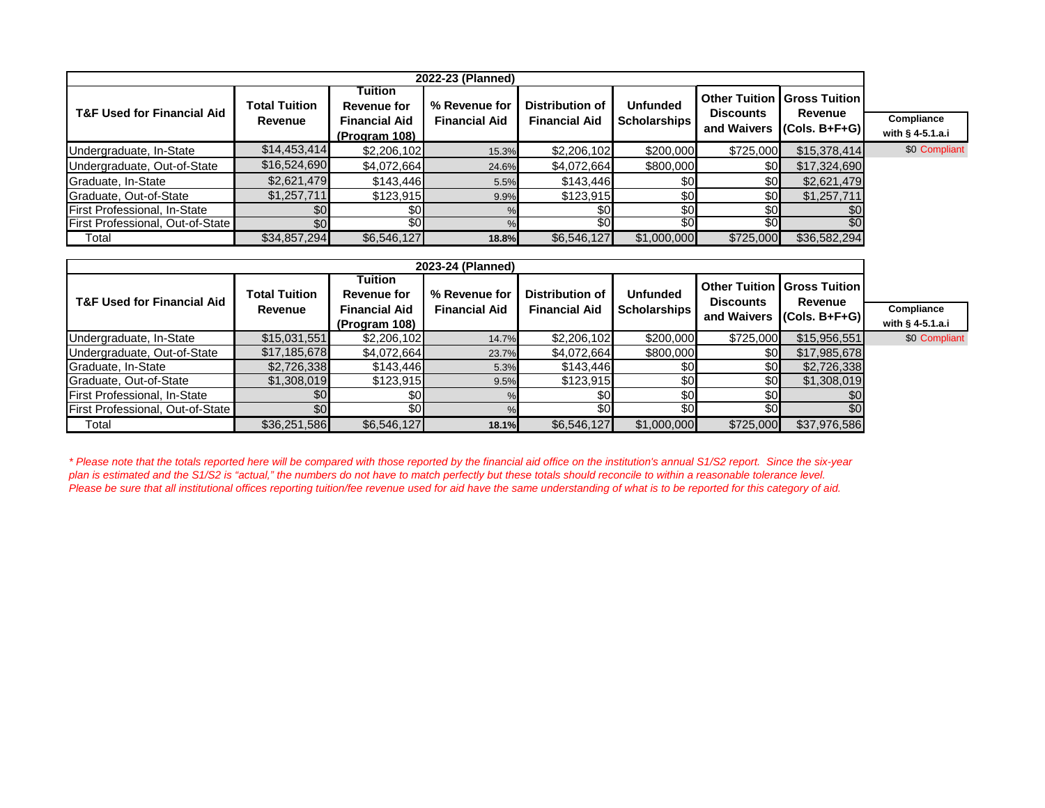| 2022-23 (Planned)                     |                      |                               |                      |                                                |                     |                                 |                                                   |                    |  |
|---------------------------------------|----------------------|-------------------------------|----------------------|------------------------------------------------|---------------------|---------------------------------|---------------------------------------------------|--------------------|--|
| <b>T&amp;F Used for Financial Aid</b> | <b>Total Tuition</b> | Tuition<br><b>Revenue for</b> | % Revenue for        | <b>Distribution of</b><br><b>Financial Aid</b> | <b>Unfunded</b>     | <b>Discounts</b><br>and Waivers | <b>Other Tuition   Gross Tuition  </b><br>Revenue |                    |  |
|                                       | Revenue              | <b>Financial Aid</b>          | <b>Financial Aid</b> |                                                | <b>Scholarships</b> |                                 | $(Cols. B + F + G)$                               | <b>Compliance</b>  |  |
|                                       |                      | (Program 108)                 |                      |                                                |                     |                                 |                                                   | with $§$ 4-5.1.a.i |  |
| Undergraduate, In-State               | \$14,453,414         | \$2,206,102                   | 15.3%                | \$2,206,102                                    | \$200,000           | \$725,000                       | \$15,378,414]                                     | \$0 Compliant      |  |
| Undergraduate, Out-of-State           | \$16,524,690         | \$4,072,664                   | 24.6%                | \$4,072,664                                    | \$800,000           | \$0                             | \$17,324,690                                      |                    |  |
| Graduate, In-State                    | \$2,621,479          | \$143,446                     | 5.5%                 | \$143,446                                      | \$0                 | \$0                             | \$2,621,479                                       |                    |  |
| Graduate, Out-of-State                | \$1,257,711          | \$123,915                     | 9.9%                 | \$123,915                                      | \$0                 | \$0 <sup>1</sup>                | \$1,257,711                                       |                    |  |
| First Professional, In-State          |                      | \$0                           |                      | \$0                                            | \$0                 | \$0                             | \$0                                               |                    |  |
| First Professional, Out-of-State      | \$0                  | \$0                           |                      | \$0                                            | \$0                 | $\overline{30}$                 | \$0                                               |                    |  |
| Total                                 | \$34,857,294         | \$6,546,127                   | 18.8%                | \$6,546,127                                    | \$1,000,000         | \$725,000                       | \$36,582,294                                      |                    |  |

| 2023-24 (Planned)                     |                      |                               |                      |                        |                 |                  |                                                          |                    |
|---------------------------------------|----------------------|-------------------------------|----------------------|------------------------|-----------------|------------------|----------------------------------------------------------|--------------------|
| <b>T&amp;F Used for Financial Aid</b> | <b>Total Tuition</b> | Tuition<br><b>Revenue for</b> | % Revenue for        | <b>Distribution of</b> | <b>Unfunded</b> | <b>Discounts</b> | <b>Other Tuition   Gross Tuition  </b><br><b>Revenue</b> |                    |
|                                       | <b>Revenue</b>       | <b>Financial Aid</b>          | <b>Financial Aid</b> | <b>Financial Aid</b>   | Scholarships    |                  | and Waivers $ $ (Cols. B+F+G) $ $                        | Compliance         |
|                                       |                      | (Program 108)                 |                      |                        |                 |                  |                                                          | with $§$ 4-5.1.a.i |
| Undergraduate, In-State               | \$15,031,551         | \$2,206,102                   | 14.7%                | \$2,206,102            | \$200,000       | \$725,000        | \$15,956,551                                             | \$0 Compliant      |
| Undergraduate, Out-of-State           | \$17,185,678         | \$4,072,664                   | 23.7%                | \$4,072,664            | \$800,000       | \$0              | \$17,985,678                                             |                    |
| Graduate, In-State                    | \$2,726,338          | \$143,446                     | 5.3%                 | \$143,446              | \$0             | \$0              | \$2,726,338                                              |                    |
| Graduate, Out-of-State                | \$1,308,019          | \$123,915                     | 9.5%                 | \$123,915              | \$0             | \$0              | \$1,308,019                                              |                    |
| First Professional, In-State          |                      | \$0 <sub>l</sub>              |                      | \$0                    | \$0             | \$0              | \$0                                                      |                    |
| First Professional, Out-of-State      |                      | \$0 <sub>l</sub>              |                      | \$0                    | \$0             | \$0              | \$0                                                      |                    |
| Total                                 | \$36,251,586         | \$6,546,127                   | 18.1%                | \$6,546,127            | \$1,000,000     | \$725,000        | \$37,976,586                                             |                    |

*\* Please note that the totals reported here will be compared with those reported by the financial aid office on the institution's annual S1/S2 report. Since the six-year plan is estimated and the S1/S2 is "actual," the numbers do not have to match perfectly but these totals should reconcile to within a reasonable tolerance level. Please be sure that all institutional offices reporting tuition/fee revenue used for aid have the same understanding of what is to be reported for this category of aid.*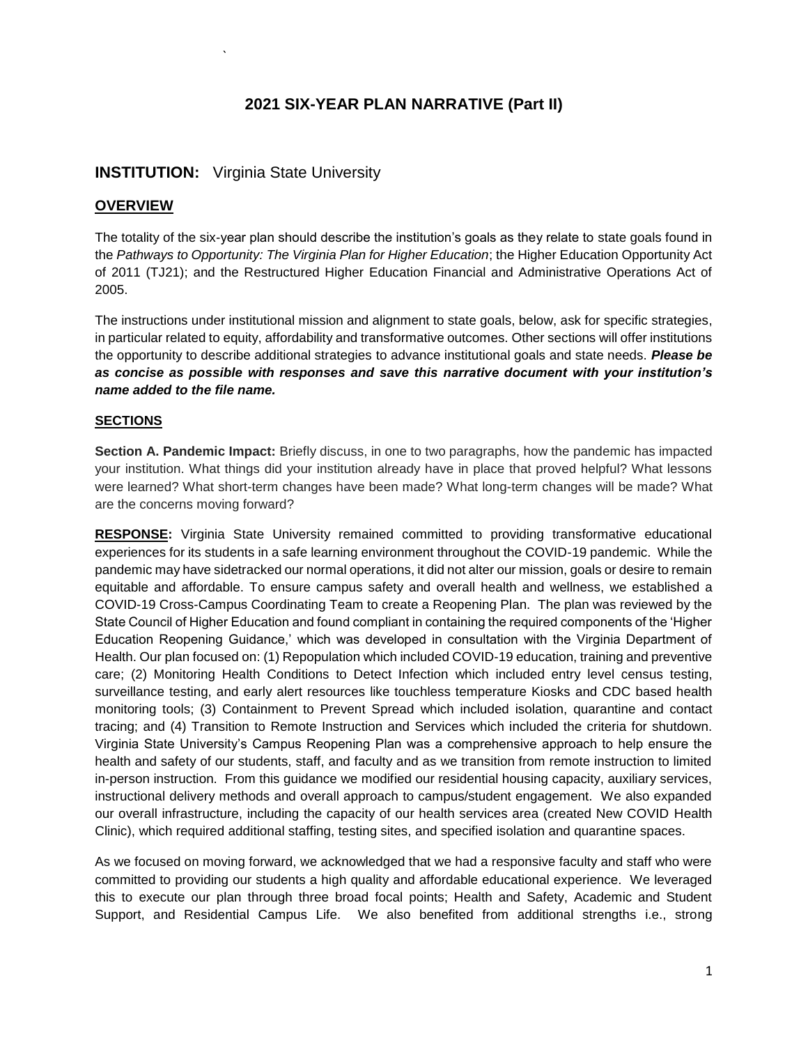### **2021 SIX-YEAR PLAN NARRATIVE (Part II)**

### **INSTITUTION:** Virginia State University

`

#### **OVERVIEW**

The totality of the six-year plan should describe the institution's goals as they relate to state goals found in the *Pathways to Opportunity: The Virginia Plan for Higher Education*; the Higher Education Opportunity Act of 2011 (TJ21); and the Restructured Higher Education Financial and Administrative Operations Act of 2005.

The instructions under institutional mission and alignment to state goals, below, ask for specific strategies, in particular related to equity, affordability and transformative outcomes. Other sections will offer institutions the opportunity to describe additional strategies to advance institutional goals and state needs. *Please be as concise as possible with responses and save this narrative document with your institution's name added to the file name.*

#### **SECTIONS**

**Section A. Pandemic Impact:** Briefly discuss, in one to two paragraphs, how the pandemic has impacted your institution. What things did your institution already have in place that proved helpful? What lessons were learned? What short-term changes have been made? What long-term changes will be made? What are the concerns moving forward?

**RESPONSE:** Virginia State University remained committed to providing transformative educational experiences for its students in a safe learning environment throughout the COVID-19 pandemic. While the pandemic may have sidetracked our normal operations, it did not alter our mission, goals or desire to remain equitable and affordable. To ensure campus safety and overall health and wellness, we established a COVID-19 Cross-Campus Coordinating Team to create a Reopening Plan. The plan was reviewed by the State Council of Higher Education and found compliant in containing the required components of the 'Higher Education Reopening Guidance,' which was developed in consultation with the Virginia Department of Health. Our plan focused on: (1) Repopulation which included COVID-19 education, training and preventive care; (2) Monitoring Health Conditions to Detect Infection which included entry level census testing, surveillance testing, and early alert resources like touchless temperature Kiosks and CDC based health monitoring tools; (3) Containment to Prevent Spread which included isolation, quarantine and contact tracing; and (4) Transition to Remote Instruction and Services which included the criteria for shutdown. Virginia State University's Campus Reopening Plan was a comprehensive approach to help ensure the health and safety of our students, staff, and faculty and as we transition from remote instruction to limited in-person instruction. From this guidance we modified our residential housing capacity, auxiliary services, instructional delivery methods and overall approach to campus/student engagement. We also expanded our overall infrastructure, including the capacity of our health services area (created New COVID Health Clinic), which required additional staffing, testing sites, and specified isolation and quarantine spaces.

As we focused on moving forward, we acknowledged that we had a responsive faculty and staff who were committed to providing our students a high quality and affordable educational experience. We leveraged this to execute our plan through three broad focal points; Health and Safety, Academic and Student Support, and Residential Campus Life. We also benefited from additional strengths i.e., strong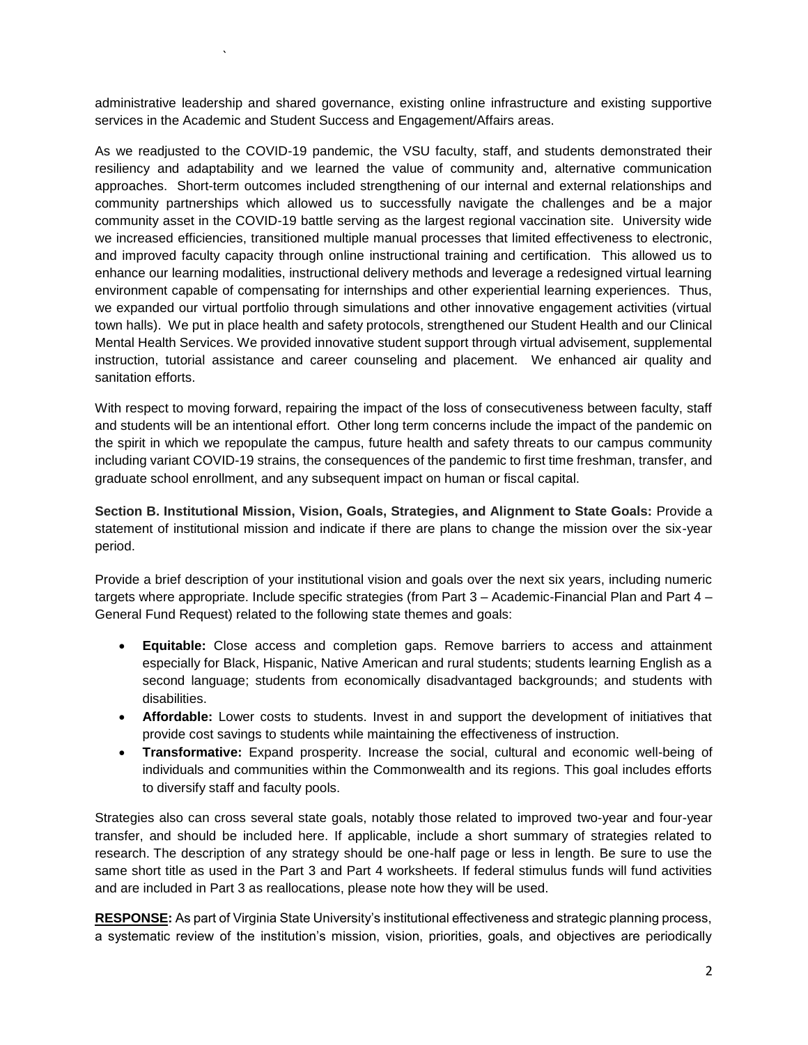administrative leadership and shared governance, existing online infrastructure and existing supportive services in the Academic and Student Success and Engagement/Affairs areas.

`

As we readjusted to the COVID-19 pandemic, the VSU faculty, staff, and students demonstrated their resiliency and adaptability and we learned the value of community and, alternative communication approaches. Short-term outcomes included strengthening of our internal and external relationships and community partnerships which allowed us to successfully navigate the challenges and be a major community asset in the COVID-19 battle serving as the largest regional vaccination site. University wide we increased efficiencies, transitioned multiple manual processes that limited effectiveness to electronic, and improved faculty capacity through online instructional training and certification. This allowed us to enhance our learning modalities, instructional delivery methods and leverage a redesigned virtual learning environment capable of compensating for internships and other experiential learning experiences. Thus, we expanded our virtual portfolio through simulations and other innovative engagement activities (virtual town halls). We put in place health and safety protocols, strengthened our Student Health and our Clinical Mental Health Services. We provided innovative student support through virtual advisement, supplemental instruction, tutorial assistance and career counseling and placement. We enhanced air quality and sanitation efforts.

With respect to moving forward, repairing the impact of the loss of consecutiveness between faculty, staff and students will be an intentional effort. Other long term concerns include the impact of the pandemic on the spirit in which we repopulate the campus, future health and safety threats to our campus community including variant COVID-19 strains, the consequences of the pandemic to first time freshman, transfer, and graduate school enrollment, and any subsequent impact on human or fiscal capital.

**Section B. Institutional Mission, Vision, Goals, Strategies, and Alignment to State Goals:** Provide a statement of institutional mission and indicate if there are plans to change the mission over the six-year period.

Provide a brief description of your institutional vision and goals over the next six years, including numeric targets where appropriate. Include specific strategies (from Part 3 – Academic-Financial Plan and Part 4 – General Fund Request) related to the following state themes and goals:

- **Equitable:** Close access and completion gaps. Remove barriers to access and attainment especially for Black, Hispanic, Native American and rural students; students learning English as a second language; students from economically disadvantaged backgrounds; and students with disabilities.
- **Affordable:** Lower costs to students. Invest in and support the development of initiatives that provide cost savings to students while maintaining the effectiveness of instruction.
- **Transformative:** Expand prosperity. Increase the social, cultural and economic well-being of individuals and communities within the Commonwealth and its regions. This goal includes efforts to diversify staff and faculty pools.

Strategies also can cross several state goals, notably those related to improved two-year and four-year transfer, and should be included here. If applicable, include a short summary of strategies related to research. The description of any strategy should be one-half page or less in length. Be sure to use the same short title as used in the Part 3 and Part 4 worksheets. If federal stimulus funds will fund activities and are included in Part 3 as reallocations, please note how they will be used.

**RESPONSE:** As part of Virginia State University's institutional effectiveness and strategic planning process, a systematic review of the institution's mission, vision, priorities, goals, and objectives are periodically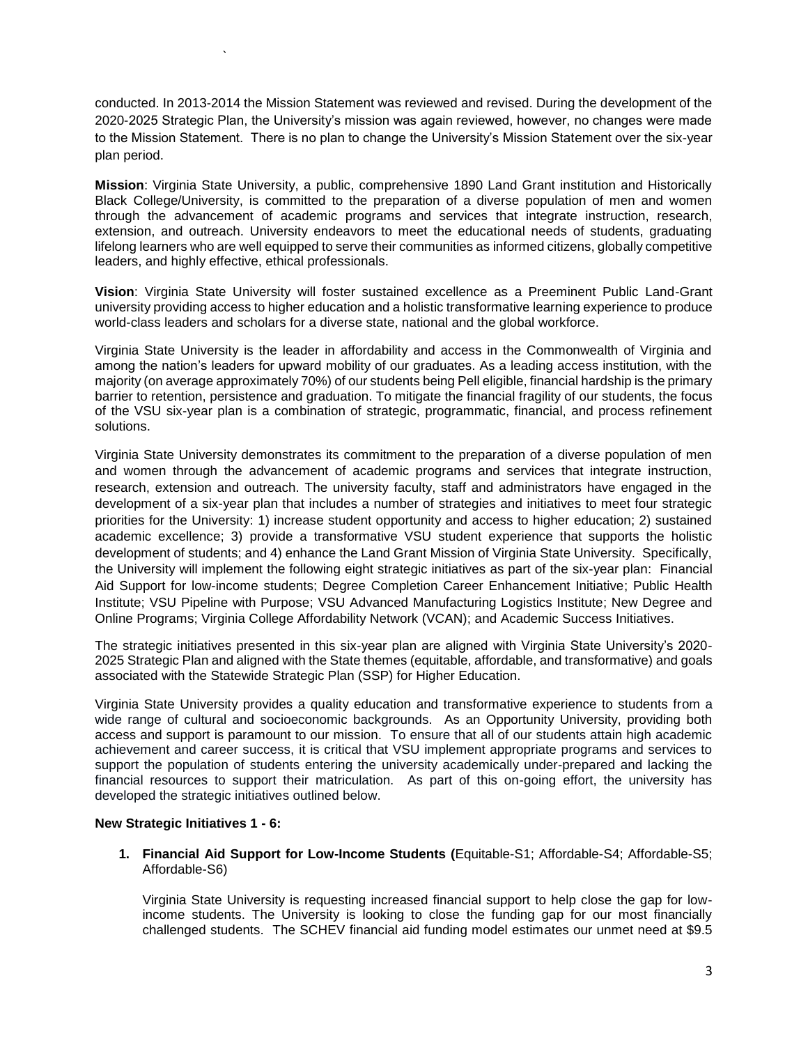conducted. In 2013-2014 the Mission Statement was reviewed and revised. During the development of the 2020-2025 Strategic Plan, the University's mission was again reviewed, however, no changes were made to the Mission Statement. There is no plan to change the University's Mission Statement over the six-year plan period.

**Mission**: Virginia State University, a public, comprehensive 1890 Land Grant institution and Historically Black College/University, is committed to the preparation of a diverse population of men and women through the advancement of academic programs and services that integrate instruction, research, extension, and outreach. University endeavors to meet the educational needs of students, graduating lifelong learners who are well equipped to serve their communities as informed citizens, globally competitive leaders, and highly effective, ethical professionals.

**Vision**: Virginia State University will foster sustained excellence as a Preeminent Public Land-Grant university providing access to higher education and a holistic transformative learning experience to produce world-class leaders and scholars for a diverse state, national and the global workforce.

Virginia State University is the leader in affordability and access in the Commonwealth of Virginia and among the nation's leaders for upward mobility of our graduates. As a leading access institution, with the majority (on average approximately 70%) of our students being Pell eligible, financial hardship is the primary barrier to retention, persistence and graduation. To mitigate the financial fragility of our students, the focus of the VSU six-year plan is a combination of strategic, programmatic, financial, and process refinement solutions.

Virginia State University demonstrates its commitment to the preparation of a diverse population of men and women through the advancement of academic programs and services that integrate instruction, research, extension and outreach. The university faculty, staff and administrators have engaged in the development of a six-year plan that includes a number of strategies and initiatives to meet four strategic priorities for the University: 1) increase student opportunity and access to higher education; 2) sustained academic excellence; 3) provide a transformative VSU student experience that supports the holistic development of students; and 4) enhance the Land Grant Mission of Virginia State University. Specifically, the University will implement the following eight strategic initiatives as part of the six-year plan: Financial Aid Support for low-income students; Degree Completion Career Enhancement Initiative; Public Health Institute; VSU Pipeline with Purpose; VSU Advanced Manufacturing Logistics Institute; New Degree and Online Programs; Virginia College Affordability Network (VCAN); and Academic Success Initiatives.

The strategic initiatives presented in this six-year plan are aligned with Virginia State University's 2020- 2025 Strategic Plan and aligned with the State themes (equitable, affordable, and transformative) and goals associated with the Statewide Strategic Plan (SSP) for Higher Education.

Virginia State University provides a quality education and transformative experience to students from a wide range of cultural and socioeconomic backgrounds. As an Opportunity University, providing both access and support is paramount to our mission. To ensure that all of our students attain high academic achievement and career success, it is critical that VSU implement appropriate programs and services to support the population of students entering the university academically under-prepared and lacking the financial resources to support their matriculation. As part of this on-going effort, the university has developed the strategic initiatives outlined below.

#### **New Strategic Initiatives 1 - 6:**

`

**1. Financial Aid Support for Low-Income Students (**Equitable-S1; Affordable-S4; Affordable-S5; Affordable-S6)

Virginia State University is requesting increased financial support to help close the gap for lowincome students. The University is looking to close the funding gap for our most financially challenged students. The SCHEV financial aid funding model estimates our unmet need at \$9.5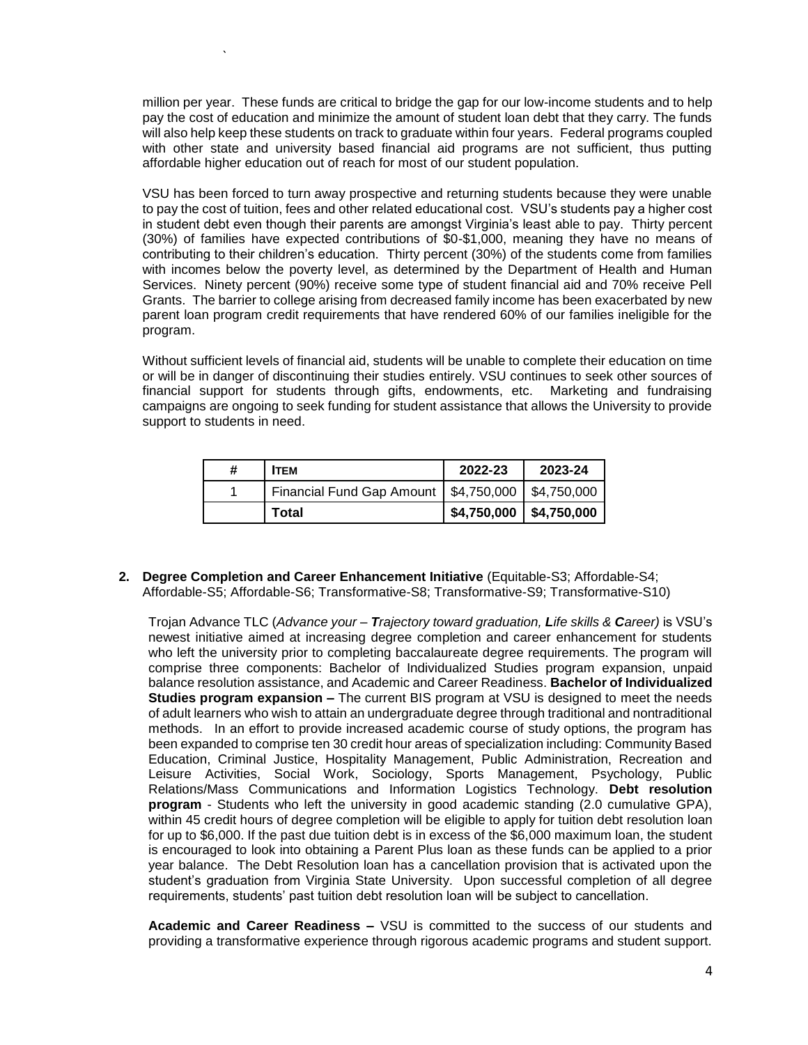million per year. These funds are critical to bridge the gap for our low-income students and to help pay the cost of education and minimize the amount of student loan debt that they carry. The funds will also help keep these students on track to graduate within four years. Federal programs coupled with other state and university based financial aid programs are not sufficient, thus putting affordable higher education out of reach for most of our student population.

`

VSU has been forced to turn away prospective and returning students because they were unable to pay the cost of tuition, fees and other related educational cost. VSU's students pay a higher cost in student debt even though their parents are amongst Virginia's least able to pay. Thirty percent (30%) of families have expected contributions of \$0-\$1,000, meaning they have no means of contributing to their children's education. Thirty percent (30%) of the students come from families with incomes below the poverty level, as determined by the Department of Health and Human Services. Ninety percent (90%) receive some type of student financial aid and 70% receive Pell Grants. The barrier to college arising from decreased family income has been exacerbated by new parent loan program credit requirements that have rendered 60% of our families ineligible for the program.

Without sufficient levels of financial aid, students will be unable to complete their education on time or will be in danger of discontinuing their studies entirely. VSU continues to seek other sources of financial support for students through gifts, endowments, etc. Marketing and fundraising campaigns are ongoing to seek funding for student assistance that allows the University to provide support to students in need.

| # | <b>ITEM</b>                                           | 2022-23                    | 2023-24 |
|---|-------------------------------------------------------|----------------------------|---------|
|   | Financial Fund Gap Amount   \$4,750,000   \$4,750,000 |                            |         |
|   | Total                                                 | $$4,750,000$   \$4,750,000 |         |

**2. Degree Completion and Career Enhancement Initiative** (Equitable-S3; Affordable-S4; Affordable-S5; Affordable-S6; Transformative-S8; Transformative-S9; Transformative-S10)

Trojan Advance TLC (*Advance your – Trajectory toward graduation, Life skills & Career)* is VSU's newest initiative aimed at increasing degree completion and career enhancement for students who left the university prior to completing baccalaureate degree requirements. The program will comprise three components: Bachelor of Individualized Studies program expansion, unpaid balance resolution assistance, and Academic and Career Readiness. **Bachelor of Individualized Studies program expansion –** The current BIS program at VSU is designed to meet the needs of adult learners who wish to attain an undergraduate degree through traditional and nontraditional methods. In an effort to provide increased academic course of study options, the program has been expanded to comprise ten 30 credit hour areas of specialization including: Community Based Education, Criminal Justice, Hospitality Management, Public Administration, Recreation and Leisure Activities, Social Work, Sociology, Sports Management, Psychology, Public Relations/Mass Communications and Information Logistics Technology. **Debt resolution program** - Students who left the university in good academic standing (2.0 cumulative GPA), within 45 credit hours of degree completion will be eligible to apply for tuition debt resolution loan for up to \$6,000. If the past due tuition debt is in excess of the \$6,000 maximum loan, the student is encouraged to look into obtaining a Parent Plus loan as these funds can be applied to a prior year balance. The Debt Resolution loan has a cancellation provision that is activated upon the student's graduation from Virginia State University. Upon successful completion of all degree requirements, students' past tuition debt resolution loan will be subject to cancellation.

**Academic and Career Readiness –** VSU is committed to the success of our students and providing a transformative experience through rigorous academic programs and student support.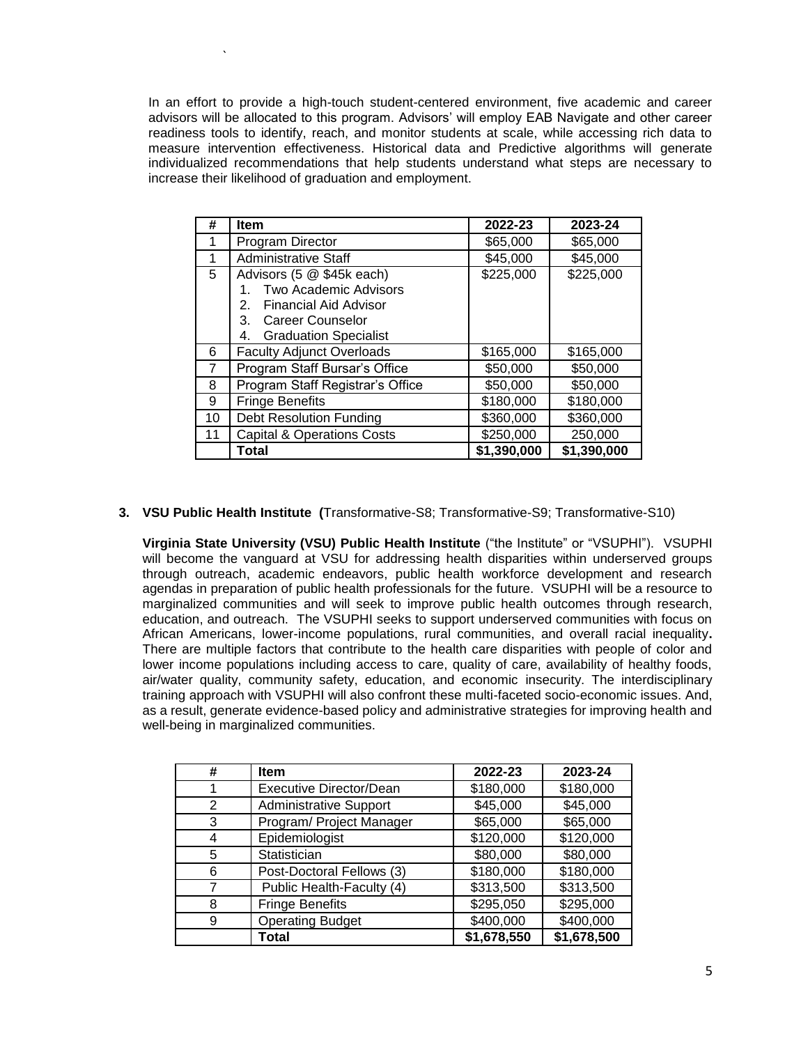In an effort to provide a high-touch student-centered environment, five academic and career advisors will be allocated to this program. Advisors' will employ EAB Navigate and other career readiness tools to identify, reach, and monitor students at scale, while accessing rich data to measure intervention effectiveness. Historical data and Predictive algorithms will generate individualized recommendations that help students understand what steps are necessary to increase their likelihood of graduation and employment.

`

| #  | <b>Item</b>                                                                                                                                                           | 2022-23     | 2023-24     |
|----|-----------------------------------------------------------------------------------------------------------------------------------------------------------------------|-------------|-------------|
|    | Program Director                                                                                                                                                      | \$65,000    | \$65,000    |
| 1  | <b>Administrative Staff</b>                                                                                                                                           | \$45,000    | \$45,000    |
| 5  | Advisors (5 @ \$45k each)<br><b>Two Academic Advisors</b><br>1.<br>Financial Aid Advisor<br>2.<br>3.<br><b>Career Counselor</b><br>4.<br><b>Graduation Specialist</b> | \$225,000   | \$225,000   |
| 6  | <b>Faculty Adjunct Overloads</b>                                                                                                                                      | \$165,000   | \$165,000   |
| 7  | Program Staff Bursar's Office                                                                                                                                         | \$50,000    | \$50,000    |
| 8  | Program Staff Registrar's Office                                                                                                                                      | \$50,000    | \$50,000    |
| 9  | <b>Fringe Benefits</b>                                                                                                                                                | \$180,000   | \$180,000   |
| 10 | <b>Debt Resolution Funding</b>                                                                                                                                        | \$360,000   | \$360,000   |
| 11 | <b>Capital &amp; Operations Costs</b>                                                                                                                                 | \$250,000   | 250,000     |
|    | Total                                                                                                                                                                 | \$1,390,000 | \$1,390,000 |

**3. VSU Public Health Institute (**Transformative-S8; Transformative-S9; Transformative-S10)

**Virginia State University (VSU) Public Health Institute** ("the Institute" or "VSUPHI"). VSUPHI will become the vanguard at VSU for addressing health disparities within underserved groups through outreach, academic endeavors, public health workforce development and research agendas in preparation of public health professionals for the future. VSUPHI will be a resource to marginalized communities and will seek to improve public health outcomes through research, education, and outreach. The VSUPHI seeks to support underserved communities with focus on African Americans, lower-income populations, rural communities, and overall racial inequality**.** There are multiple factors that contribute to the health care disparities with people of color and lower income populations including access to care, quality of care, availability of healthy foods, air/water quality, community safety, education, and economic insecurity. The interdisciplinary training approach with VSUPHI will also confront these multi-faceted socio-economic issues. And, as a result, generate evidence-based policy and administrative strategies for improving health and well-being in marginalized communities.

| # | <b>Item</b>                   | 2022-23     | 2023-24     |
|---|-------------------------------|-------------|-------------|
|   | Executive Director/Dean       | \$180,000   | \$180,000   |
| 2 | <b>Administrative Support</b> | \$45,000    | \$45,000    |
| 3 | Program/ Project Manager      | \$65,000    | \$65,000    |
| 4 | Epidemiologist                | \$120,000   | \$120,000   |
| 5 | Statistician                  | \$80,000    | \$80,000    |
| 6 | Post-Doctoral Fellows (3)     | \$180,000   | \$180,000   |
|   | Public Health-Faculty (4)     | \$313,500   | \$313,500   |
| 8 | <b>Fringe Benefits</b>        | \$295,050   | \$295,000   |
| 9 | <b>Operating Budget</b>       | \$400,000   | \$400,000   |
|   | Total                         | \$1,678,550 | \$1,678,500 |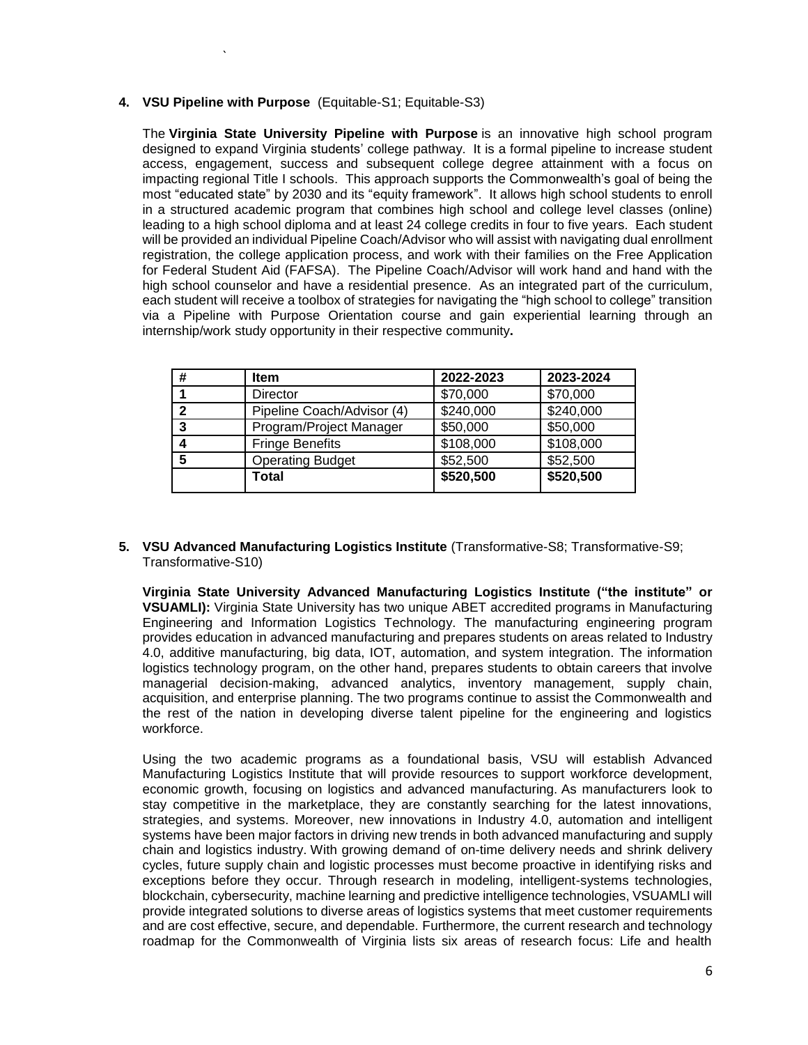#### **4. VSU Pipeline with Purpose** (Equitable-S1; Equitable-S3)

`

The **Virginia State University Pipeline with Purpose** is an innovative high school program designed to expand Virginia students' college pathway. It is a formal pipeline to increase student access, engagement, success and subsequent college degree attainment with a focus on impacting regional Title I schools. This approach supports the Commonwealth's goal of being the most "educated state" by 2030 and its "equity framework". It allows high school students to enroll in a structured academic program that combines high school and college level classes (online) leading to a high school diploma and at least 24 college credits in four to five years. Each student will be provided an individual Pipeline Coach/Advisor who will assist with navigating dual enrollment registration, the college application process, and work with their families on the Free Application for Federal Student Aid (FAFSA). The Pipeline Coach/Advisor will work hand and hand with the high school counselor and have a residential presence. As an integrated part of the curriculum, each student will receive a toolbox of strategies for navigating the "high school to college" transition via a Pipeline with Purpose Orientation course and gain experiential learning through an internship/work study opportunity in their respective community**.**

| # | <b>Item</b>                | 2022-2023 | 2023-2024 |
|---|----------------------------|-----------|-----------|
|   | Director                   | \$70,000  | \$70,000  |
| 2 | Pipeline Coach/Advisor (4) | \$240,000 | \$240,000 |
| 3 | Program/Project Manager    | \$50,000  | \$50,000  |
|   | <b>Fringe Benefits</b>     | \$108,000 | \$108,000 |
| 5 | <b>Operating Budget</b>    | \$52,500  | \$52,500  |
|   | Total                      | \$520,500 | \$520,500 |

#### **5. VSU Advanced Manufacturing Logistics Institute** (Transformative-S8; Transformative-S9; Transformative-S10)

**Virginia State University Advanced Manufacturing Logistics Institute ("the institute" or VSUAMLI):** Virginia State University has two unique ABET accredited programs in Manufacturing Engineering and Information Logistics Technology. The manufacturing engineering program provides education in advanced manufacturing and prepares students on areas related to Industry 4.0, additive manufacturing, big data, IOT, automation, and system integration. The information logistics technology program, on the other hand, prepares students to obtain careers that involve managerial decision-making, advanced analytics, inventory management, supply chain, acquisition, and enterprise planning. The two programs continue to assist the Commonwealth and the rest of the nation in developing diverse talent pipeline for the engineering and logistics workforce.

Using the two academic programs as a foundational basis, VSU will establish Advanced Manufacturing Logistics Institute that will provide resources to support workforce development, economic growth, focusing on logistics and advanced manufacturing. As manufacturers look to stay competitive in the marketplace, they are constantly searching for the latest innovations, strategies, and systems. Moreover, new innovations in Industry 4.0, automation and intelligent systems have been major factors in driving new trends in both advanced manufacturing and supply chain and logistics industry. With growing demand of on-time delivery needs and shrink delivery cycles, future supply chain and logistic processes must become proactive in identifying risks and exceptions before they occur. Through research in modeling, intelligent-systems technologies, blockchain, cybersecurity, machine learning and predictive intelligence technologies, VSUAMLI will provide integrated solutions to diverse areas of logistics systems that meet customer requirements and are cost effective, secure, and dependable. Furthermore, the current research and technology roadmap for the Commonwealth of Virginia lists six areas of research focus: Life and health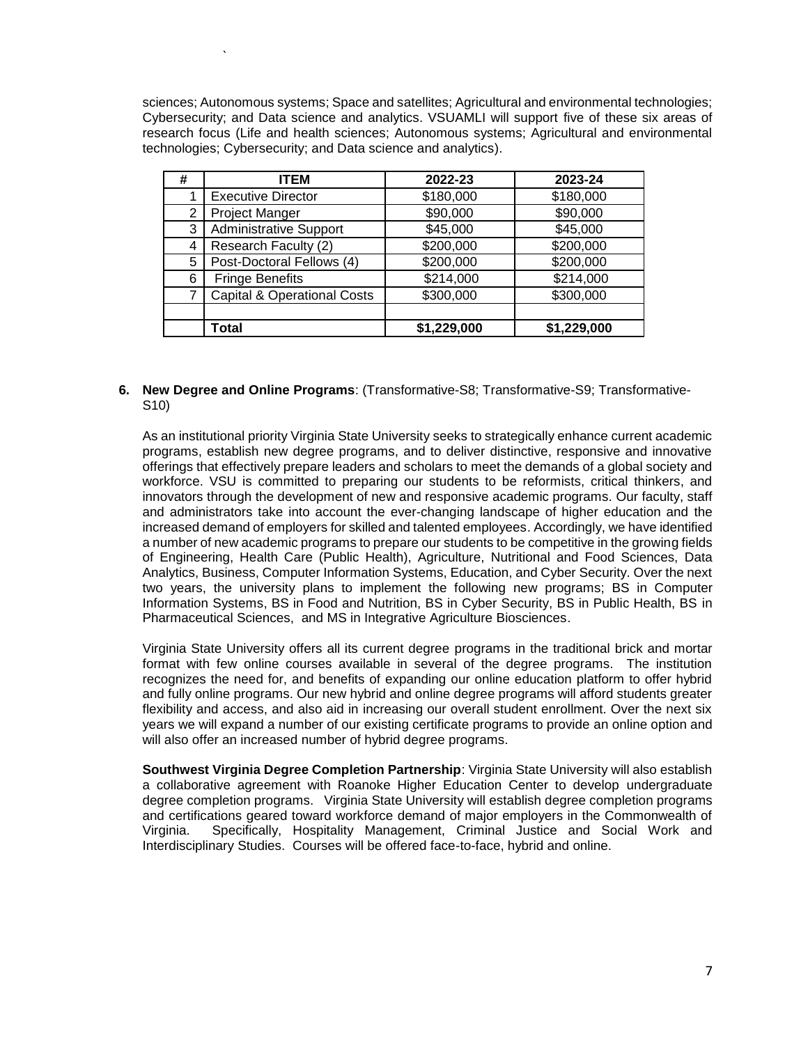sciences; Autonomous systems; Space and satellites; Agricultural and environmental technologies; Cybersecurity; and Data science and analytics. VSUAMLI will support five of these six areas of research focus (Life and health sciences; Autonomous systems; Agricultural and environmental technologies; Cybersecurity; and Data science and analytics).

`

| # | <b>ITEM</b>                            | 2022-23     | 2023-24     |
|---|----------------------------------------|-------------|-------------|
|   | <b>Executive Director</b>              | \$180,000   | \$180,000   |
| 2 | <b>Project Manger</b>                  | \$90,000    | \$90,000    |
| 3 | <b>Administrative Support</b>          | \$45,000    | \$45,000    |
| 4 | Research Faculty (2)                   | \$200,000   | \$200,000   |
| 5 | Post-Doctoral Fellows (4)              | \$200,000   | \$200,000   |
| 6 | <b>Fringe Benefits</b>                 | \$214,000   | \$214,000   |
| 7 | <b>Capital &amp; Operational Costs</b> | \$300,000   | \$300,000   |
|   |                                        |             |             |
|   | Total                                  | \$1,229,000 | \$1,229,000 |

**6. New Degree and Online Programs**: (Transformative-S8; Transformative-S9; Transformative-S10)

As an institutional priority Virginia State University seeks to strategically enhance current academic programs, establish new degree programs, and to deliver distinctive, responsive and innovative offerings that effectively prepare leaders and scholars to meet the demands of a global society and workforce. VSU is committed to preparing our students to be reformists, critical thinkers, and innovators through the development of new and responsive academic programs. Our faculty, staff and administrators take into account the ever-changing landscape of higher education and the increased demand of employers for skilled and talented employees. Accordingly, we have identified a number of new academic programs to prepare our students to be competitive in the growing fields of Engineering, Health Care (Public Health), Agriculture, Nutritional and Food Sciences, Data Analytics, Business, Computer Information Systems, Education, and Cyber Security. Over the next two years, the university plans to implement the following new programs; BS in Computer Information Systems, BS in Food and Nutrition, BS in Cyber Security, BS in Public Health, BS in Pharmaceutical Sciences, and MS in Integrative Agriculture Biosciences.

Virginia State University offers all its current degree programs in the traditional brick and mortar format with few online courses available in several of the degree programs. The institution recognizes the need for, and benefits of expanding our online education platform to offer hybrid and fully online programs. Our new hybrid and online degree programs will afford students greater flexibility and access, and also aid in increasing our overall student enrollment. Over the next six years we will expand a number of our existing certificate programs to provide an online option and will also offer an increased number of hybrid degree programs.

**Southwest Virginia Degree Completion Partnership**: Virginia State University will also establish a collaborative agreement with Roanoke Higher Education Center to develop undergraduate degree completion programs. Virginia State University will establish degree completion programs and certifications geared toward workforce demand of major employers in the Commonwealth of Virginia. Specifically, Hospitality Management, Criminal Justice and Social Work and Interdisciplinary Studies. Courses will be offered face-to-face, hybrid and online.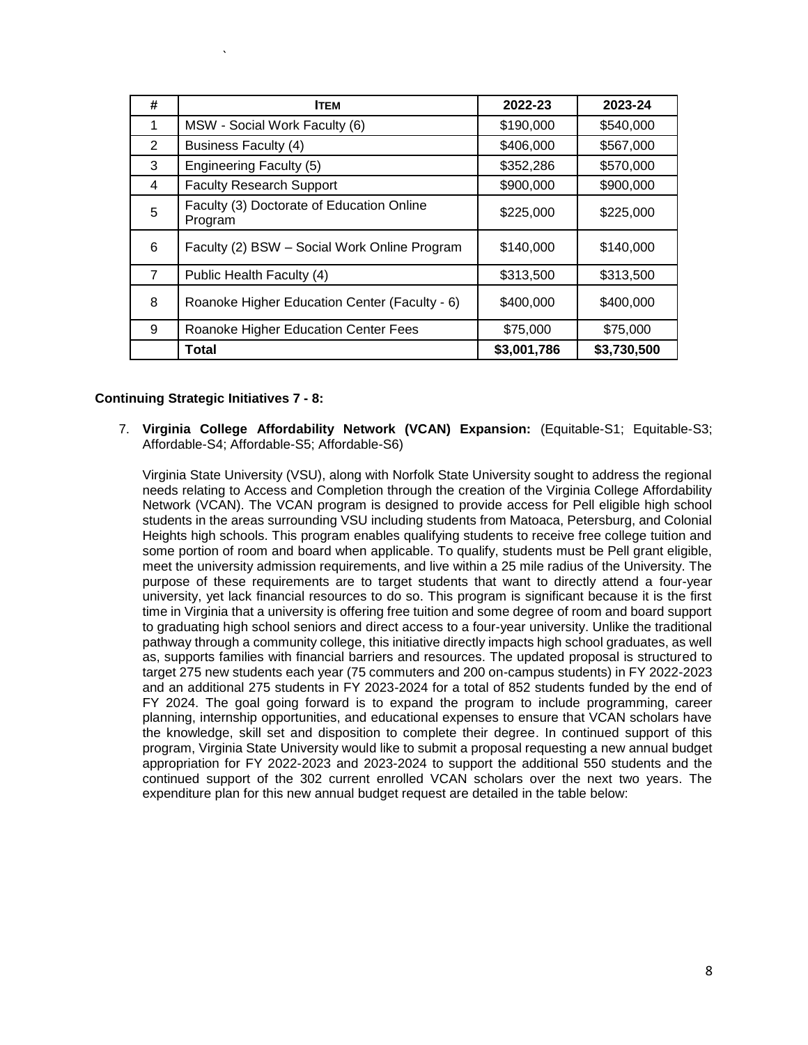| # | <b>ITEM</b>                                          | 2022-23     | 2023-24     |
|---|------------------------------------------------------|-------------|-------------|
| 1 | MSW - Social Work Faculty (6)                        | \$190,000   | \$540,000   |
| 2 | <b>Business Faculty (4)</b>                          | \$406,000   | \$567,000   |
| 3 | <b>Engineering Faculty (5)</b>                       | \$352,286   | \$570,000   |
| 4 | <b>Faculty Research Support</b>                      | \$900,000   | \$900,000   |
| 5 | Faculty (3) Doctorate of Education Online<br>Program | \$225,000   | \$225,000   |
| 6 | Faculty (2) BSW - Social Work Online Program         | \$140,000   | \$140,000   |
| 7 | Public Health Faculty (4)                            | \$313,500   | \$313,500   |
| 8 | Roanoke Higher Education Center (Faculty - 6)        | \$400,000   | \$400,000   |
| 9 | Roanoke Higher Education Center Fees                 | \$75,000    | \$75,000    |
|   | Total                                                | \$3,001,786 | \$3,730,500 |

#### **Continuing Strategic Initiatives 7 - 8:**

`

7. **Virginia College Affordability Network (VCAN) Expansion:** (Equitable-S1; Equitable-S3; Affordable-S4; Affordable-S5; Affordable-S6)

Virginia State University (VSU), along with Norfolk State University sought to address the regional needs relating to Access and Completion through the creation of the Virginia College Affordability Network (VCAN). The VCAN program is designed to provide access for Pell eligible high school students in the areas surrounding VSU including students from Matoaca, Petersburg, and Colonial Heights high schools. This program enables qualifying students to receive free college tuition and some portion of room and board when applicable. To qualify, students must be Pell grant eligible, meet the university admission requirements, and live within a 25 mile radius of the University. The purpose of these requirements are to target students that want to directly attend a four-year university, yet lack financial resources to do so. This program is significant because it is the first time in Virginia that a university is offering free tuition and some degree of room and board support to graduating high school seniors and direct access to a four-year university. Unlike the traditional pathway through a community college, this initiative directly impacts high school graduates, as well as, supports families with financial barriers and resources. The updated proposal is structured to target 275 new students each year (75 commuters and 200 on-campus students) in FY 2022-2023 and an additional 275 students in FY 2023-2024 for a total of 852 students funded by the end of FY 2024. The goal going forward is to expand the program to include programming, career planning, internship opportunities, and educational expenses to ensure that VCAN scholars have the knowledge, skill set and disposition to complete their degree. In continued support of this program, Virginia State University would like to submit a proposal requesting a new annual budget appropriation for FY 2022-2023 and 2023-2024 to support the additional 550 students and the continued support of the 302 current enrolled VCAN scholars over the next two years. The expenditure plan for this new annual budget request are detailed in the table below: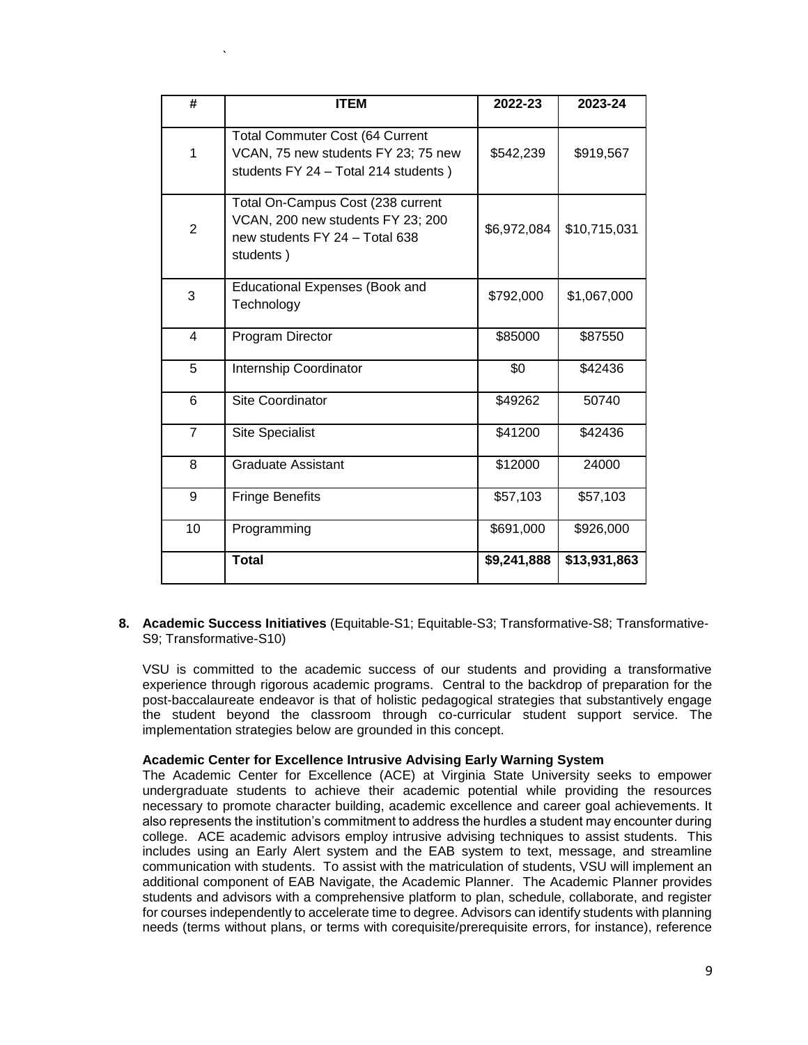| #              | <b>ITEM</b>                                                                                                           | 2022-23     | 2023-24      |
|----------------|-----------------------------------------------------------------------------------------------------------------------|-------------|--------------|
| 1              | <b>Total Commuter Cost (64 Current</b><br>VCAN, 75 new students FY 23; 75 new<br>students FY 24 - Total 214 students) | \$542,239   | \$919,567    |
| $\overline{2}$ | Total On-Campus Cost (238 current<br>VCAN, 200 new students FY 23; 200<br>new students FY 24 - Total 638<br>students) | \$6,972,084 | \$10,715,031 |
| 3              | <b>Educational Expenses (Book and</b><br>Technology                                                                   | \$792,000   | \$1,067,000  |
| $\overline{4}$ | Program Director                                                                                                      | \$85000     | \$87550      |
| 5              | Internship Coordinator                                                                                                | \$0         | \$42436      |
| 6              | <b>Site Coordinator</b>                                                                                               | \$49262     | 50740        |
| $\overline{7}$ | <b>Site Specialist</b>                                                                                                | \$41200     | \$42436      |
| 8              | <b>Graduate Assistant</b>                                                                                             | \$12000     | 24000        |
| 9              | <b>Fringe Benefits</b>                                                                                                | \$57,103    | \$57,103     |
| 10             | Programming                                                                                                           | \$691,000   | \$926,000    |
|                | <b>Total</b>                                                                                                          | \$9,241,888 | \$13,931,863 |

`

**8. Academic Success Initiatives** (Equitable-S1; Equitable-S3; Transformative-S8; Transformative-S9; Transformative-S10)

VSU is committed to the academic success of our students and providing a transformative experience through rigorous academic programs. Central to the backdrop of preparation for the post-baccalaureate endeavor is that of holistic pedagogical strategies that substantively engage the student beyond the classroom through co-curricular student support service. The implementation strategies below are grounded in this concept.

#### **Academic Center for Excellence Intrusive Advising Early Warning System**

The Academic Center for Excellence (ACE) at Virginia State University seeks to empower undergraduate students to achieve their academic potential while providing the resources necessary to promote character building, academic excellence and career goal achievements. It also represents the institution's commitment to address the hurdles a student may encounter during college. ACE academic advisors employ intrusive advising techniques to assist students. This includes using an Early Alert system and the EAB system to text, message, and streamline communication with students. To assist with the matriculation of students, VSU will implement an additional component of EAB Navigate, the Academic Planner. The Academic Planner provides students and advisors with a comprehensive platform to plan, schedule, collaborate, and register for courses independently to accelerate time to degree. Advisors can identify students with planning needs (terms without plans, or terms with corequisite/prerequisite errors, for instance), reference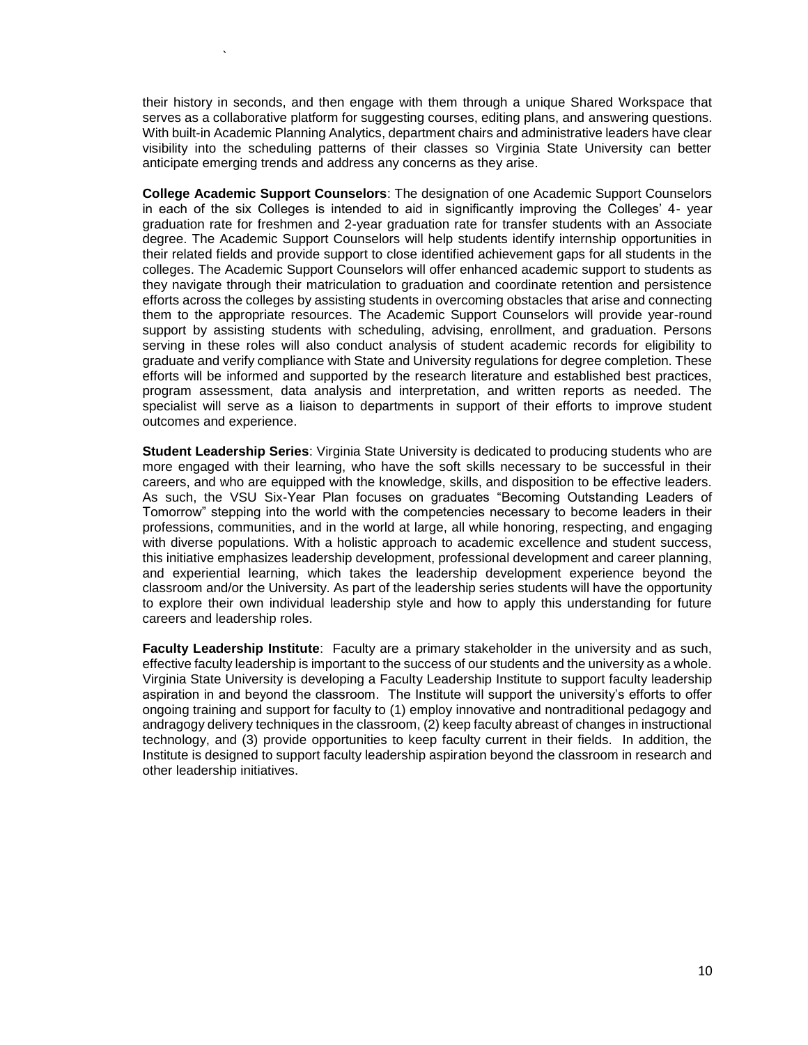their history in seconds, and then engage with them through a unique Shared Workspace that serves as a collaborative platform for suggesting courses, editing plans, and answering questions. With built-in Academic Planning Analytics, department chairs and administrative leaders have clear visibility into the scheduling patterns of their classes so Virginia State University can better anticipate emerging trends and address any concerns as they arise.

`

**College Academic Support Counselors**: The designation of one Academic Support Counselors in each of the six Colleges is intended to aid in significantly improving the Colleges' 4- year graduation rate for freshmen and 2-year graduation rate for transfer students with an Associate degree. The Academic Support Counselors will help students identify internship opportunities in their related fields and provide support to close identified achievement gaps for all students in the colleges. The Academic Support Counselors will offer enhanced academic support to students as they navigate through their matriculation to graduation and coordinate retention and persistence efforts across the colleges by assisting students in overcoming obstacles that arise and connecting them to the appropriate resources. The Academic Support Counselors will provide year-round support by assisting students with scheduling, advising, enrollment, and graduation. Persons serving in these roles will also conduct analysis of student academic records for eligibility to graduate and verify compliance with State and University regulations for degree completion. These efforts will be informed and supported by the research literature and established best practices, program assessment, data analysis and interpretation, and written reports as needed. The specialist will serve as a liaison to departments in support of their efforts to improve student outcomes and experience.

**Student Leadership Series**: Virginia State University is dedicated to producing students who are more engaged with their learning, who have the soft skills necessary to be successful in their careers, and who are equipped with the knowledge, skills, and disposition to be effective leaders. As such, the VSU Six-Year Plan focuses on graduates "Becoming Outstanding Leaders of Tomorrow" stepping into the world with the competencies necessary to become leaders in their professions, communities, and in the world at large, all while honoring, respecting, and engaging with diverse populations. With a holistic approach to academic excellence and student success, this initiative emphasizes leadership development, professional development and career planning, and experiential learning, which takes the leadership development experience beyond the classroom and/or the University. As part of the leadership series students will have the opportunity to explore their own individual leadership style and how to apply this understanding for future careers and leadership roles.

**Faculty Leadership Institute**: Faculty are a primary stakeholder in the university and as such, effective faculty leadership is important to the success of our students and the university as a whole. Virginia State University is developing a Faculty Leadership Institute to support faculty leadership aspiration in and beyond the classroom. The Institute will support the university's efforts to offer ongoing training and support for faculty to (1) employ innovative and nontraditional pedagogy and andragogy delivery techniques in the classroom, (2) keep faculty abreast of changes in instructional technology, and (3) provide opportunities to keep faculty current in their fields. In addition, the Institute is designed to support faculty leadership aspiration beyond the classroom in research and other leadership initiatives.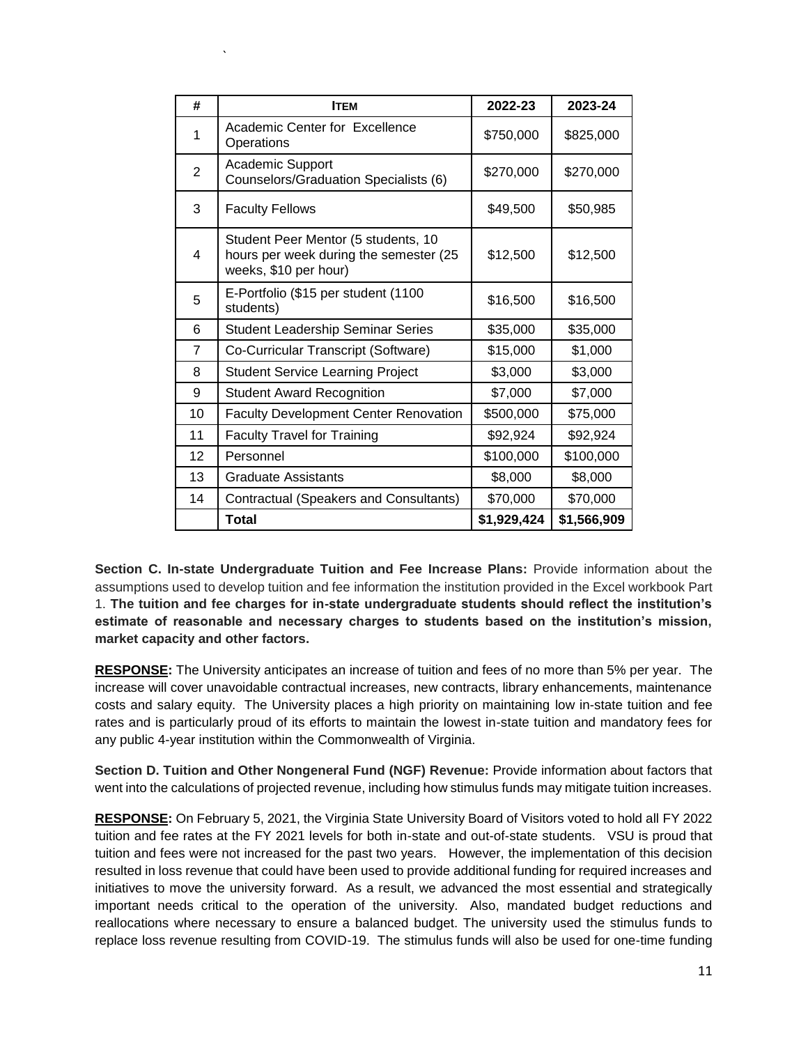| #              | <b>ITEM</b>                                                                                            | 2022-23     | 2023-24     |
|----------------|--------------------------------------------------------------------------------------------------------|-------------|-------------|
| 1              | Academic Center for Excellence<br>Operations                                                           | \$750,000   | \$825,000   |
| $\overline{2}$ | <b>Academic Support</b><br>Counselors/Graduation Specialists (6)                                       | \$270,000   | \$270,000   |
| 3              | <b>Faculty Fellows</b>                                                                                 | \$49,500    | \$50,985    |
| 4              | Student Peer Mentor (5 students, 10<br>hours per week during the semester (25<br>weeks, \$10 per hour) | \$12,500    | \$12,500    |
| 5              | E-Portfolio (\$15 per student (1100<br>students)                                                       | \$16,500    | \$16,500    |
| 6              | <b>Student Leadership Seminar Series</b>                                                               | \$35,000    | \$35,000    |
| $\overline{7}$ | Co-Curricular Transcript (Software)                                                                    | \$15,000    | \$1,000     |
| 8              | <b>Student Service Learning Project</b>                                                                | \$3,000     | \$3,000     |
| 9              | <b>Student Award Recognition</b>                                                                       | \$7,000     | \$7,000     |
| 10             | <b>Faculty Development Center Renovation</b>                                                           | \$500,000   | \$75,000    |
| 11             | <b>Faculty Travel for Training</b>                                                                     | \$92,924    | \$92,924    |
| 12             | Personnel                                                                                              | \$100,000   | \$100,000   |
| 13             | Graduate Assistants                                                                                    | \$8,000     | \$8,000     |
| 14             | Contractual (Speakers and Consultants)                                                                 | \$70,000    | \$70,000    |
|                | <b>Total</b>                                                                                           | \$1,929,424 | \$1,566,909 |

`

**Section C. In-state Undergraduate Tuition and Fee Increase Plans:** Provide information about the assumptions used to develop tuition and fee information the institution provided in the Excel workbook Part 1. **The tuition and fee charges for in-state undergraduate students should reflect the institution's estimate of reasonable and necessary charges to students based on the institution's mission, market capacity and other factors.** 

**RESPONSE:** The University anticipates an increase of tuition and fees of no more than 5% per year. The increase will cover unavoidable contractual increases, new contracts, library enhancements, maintenance costs and salary equity. The University places a high priority on maintaining low in-state tuition and fee rates and is particularly proud of its efforts to maintain the lowest in-state tuition and mandatory fees for any public 4-year institution within the Commonwealth of Virginia.

**Section D. Tuition and Other Nongeneral Fund (NGF) Revenue:** Provide information about factors that went into the calculations of projected revenue, including how stimulus funds may mitigate tuition increases.

**RESPONSE:** On February 5, 2021, the Virginia State University Board of Visitors voted to hold all FY 2022 tuition and fee rates at the FY 2021 levels for both in-state and out-of-state students. VSU is proud that tuition and fees were not increased for the past two years. However, the implementation of this decision resulted in loss revenue that could have been used to provide additional funding for required increases and initiatives to move the university forward. As a result, we advanced the most essential and strategically important needs critical to the operation of the university. Also, mandated budget reductions and reallocations where necessary to ensure a balanced budget. The university used the stimulus funds to replace loss revenue resulting from COVID-19. The stimulus funds will also be used for one-time funding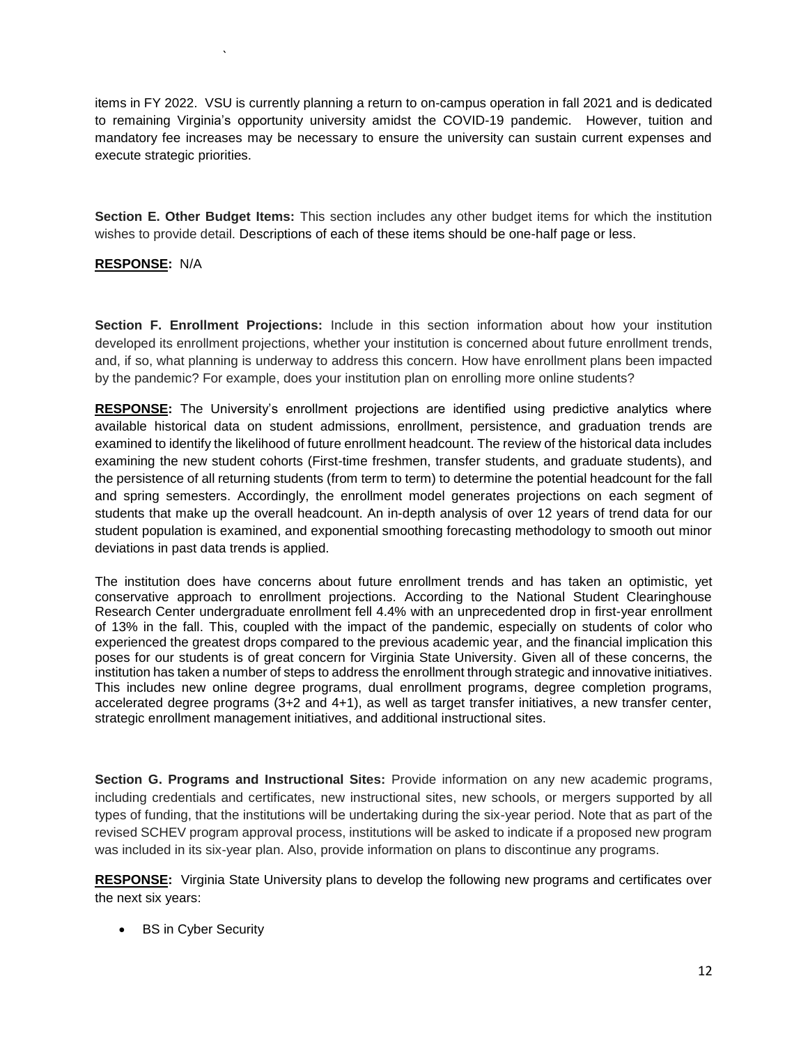items in FY 2022. VSU is currently planning a return to on-campus operation in fall 2021 and is dedicated to remaining Virginia's opportunity university amidst the COVID-19 pandemic. However, tuition and mandatory fee increases may be necessary to ensure the university can sustain current expenses and execute strategic priorities.

**Section E. Other Budget Items:** This section includes any other budget items for which the institution wishes to provide detail. Descriptions of each of these items should be one-half page or less.

#### **RESPONSE:** N/A

`

**Section F. Enrollment Projections:** Include in this section information about how your institution developed its enrollment projections, whether your institution is concerned about future enrollment trends, and, if so, what planning is underway to address this concern. How have enrollment plans been impacted by the pandemic? For example, does your institution plan on enrolling more online students?

**RESPONSE:** The University's enrollment projections are identified using predictive analytics where available historical data on student admissions, enrollment, persistence, and graduation trends are examined to identify the likelihood of future enrollment headcount. The review of the historical data includes examining the new student cohorts (First-time freshmen, transfer students, and graduate students), and the persistence of all returning students (from term to term) to determine the potential headcount for the fall and spring semesters. Accordingly, the enrollment model generates projections on each segment of students that make up the overall headcount. An in-depth analysis of over 12 years of trend data for our student population is examined, and exponential smoothing forecasting methodology to smooth out minor deviations in past data trends is applied.

The institution does have concerns about future enrollment trends and has taken an optimistic, yet conservative approach to enrollment projections. According to the National Student Clearinghouse Research Center undergraduate enrollment fell 4.4% with an unprecedented drop in first-year enrollment of 13% in the fall. This, coupled with the impact of the pandemic, especially on students of color who experienced the greatest drops compared to the previous academic year, and the financial implication this poses for our students is of great concern for Virginia State University. Given all of these concerns, the institution has taken a number of steps to address the enrollment through strategic and innovative initiatives. This includes new online degree programs, dual enrollment programs, degree completion programs, accelerated degree programs (3+2 and 4+1), as well as target transfer initiatives, a new transfer center, strategic enrollment management initiatives, and additional instructional sites.

**Section G. Programs and Instructional Sites:** Provide information on any new academic programs, including credentials and certificates, new instructional sites, new schools, or mergers supported by all types of funding, that the institutions will be undertaking during the six-year period. Note that as part of the revised SCHEV program approval process, institutions will be asked to indicate if a proposed new program was included in its six-year plan. Also, provide information on plans to discontinue any programs.

**RESPONSE:** Virginia State University plans to develop the following new programs and certificates over the next six years:

• BS in Cyber Security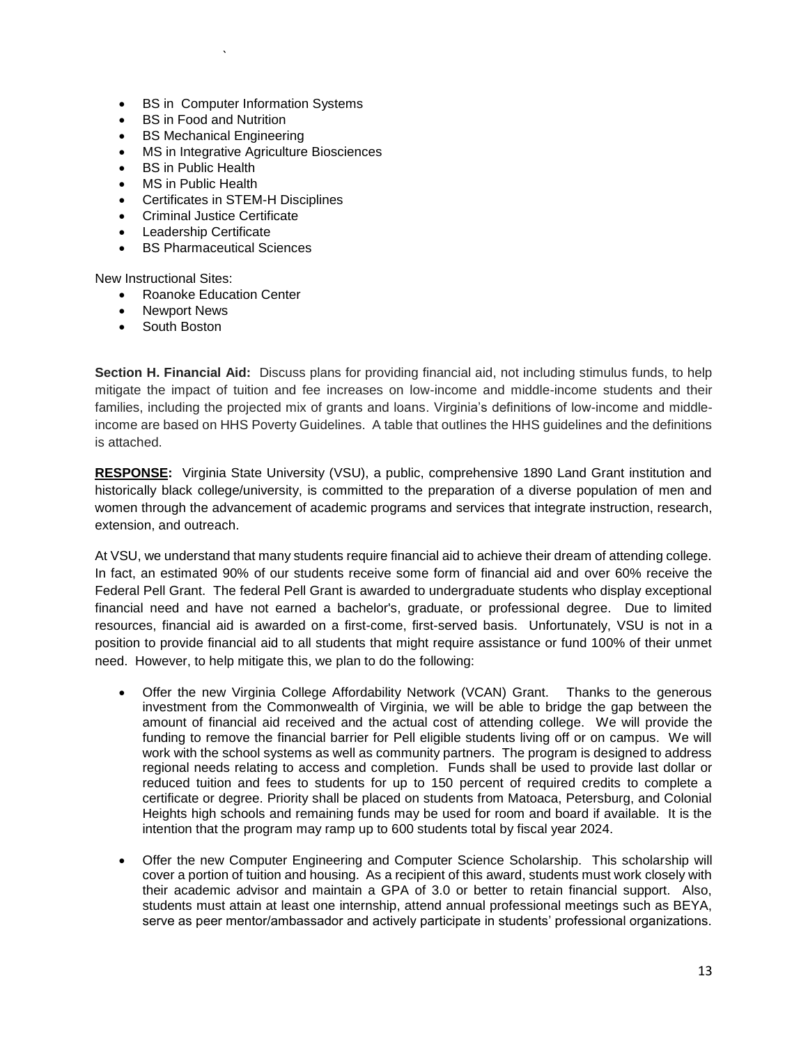- BS in Computer Information Systems
- BS in Food and Nutrition
- BS Mechanical Engineering

`

- MS in Integrative Agriculture Biosciences
- BS in Public Health
- MS in Public Health
- Certificates in STEM-H Disciplines
- Criminal Justice Certificate
- Leadership Certificate
- BS Pharmaceutical Sciences

New Instructional Sites:

- Roanoke Education Center
- Newport News
- South Boston

**Section H. Financial Aid:** Discuss plans for providing financial aid, not including stimulus funds, to help mitigate the impact of tuition and fee increases on low-income and middle-income students and their families, including the projected mix of grants and loans. Virginia's definitions of low-income and middleincome are based on HHS Poverty Guidelines. A table that outlines the HHS guidelines and the definitions is attached.

**RESPONSE:** Virginia State University (VSU), a public, comprehensive 1890 Land Grant institution and historically black college/university, is committed to the preparation of a diverse population of men and women through the advancement of academic programs and services that integrate instruction, research, extension, and outreach.

At VSU, we understand that many students require financial aid to achieve their dream of attending college. In fact, an estimated 90% of our students receive some form of financial aid and over 60% receive the Federal Pell Grant. The federal Pell Grant is awarded to undergraduate students who display exceptional financial need and have not earned a bachelor's, graduate, or professional degree. Due to limited resources, financial aid is awarded on a first-come, first-served basis. Unfortunately, VSU is not in a position to provide financial aid to all students that might require assistance or fund 100% of their unmet need. However, to help mitigate this, we plan to do the following:

- Offer the new Virginia College Affordability Network (VCAN) Grant. Thanks to the generous investment from the Commonwealth of Virginia, we will be able to bridge the gap between the amount of financial aid received and the actual cost of attending college. We will provide the funding to remove the financial barrier for Pell eligible students living off or on campus. We will work with the school systems as well as community partners. The program is designed to address regional needs relating to access and completion. Funds shall be used to provide last dollar or reduced tuition and fees to students for up to 150 percent of required credits to complete a certificate or degree. Priority shall be placed on students from Matoaca, Petersburg, and Colonial Heights high schools and remaining funds may be used for room and board if available. It is the intention that the program may ramp up to 600 students total by fiscal year 2024.
- Offer the new Computer Engineering and Computer Science Scholarship. This scholarship will cover a portion of tuition and housing. As a recipient of this award, students must work closely with their academic advisor and maintain a GPA of 3.0 or better to retain financial support. Also, students must attain at least one internship, attend annual professional meetings such as BEYA, serve as peer mentor/ambassador and actively participate in students' professional organizations.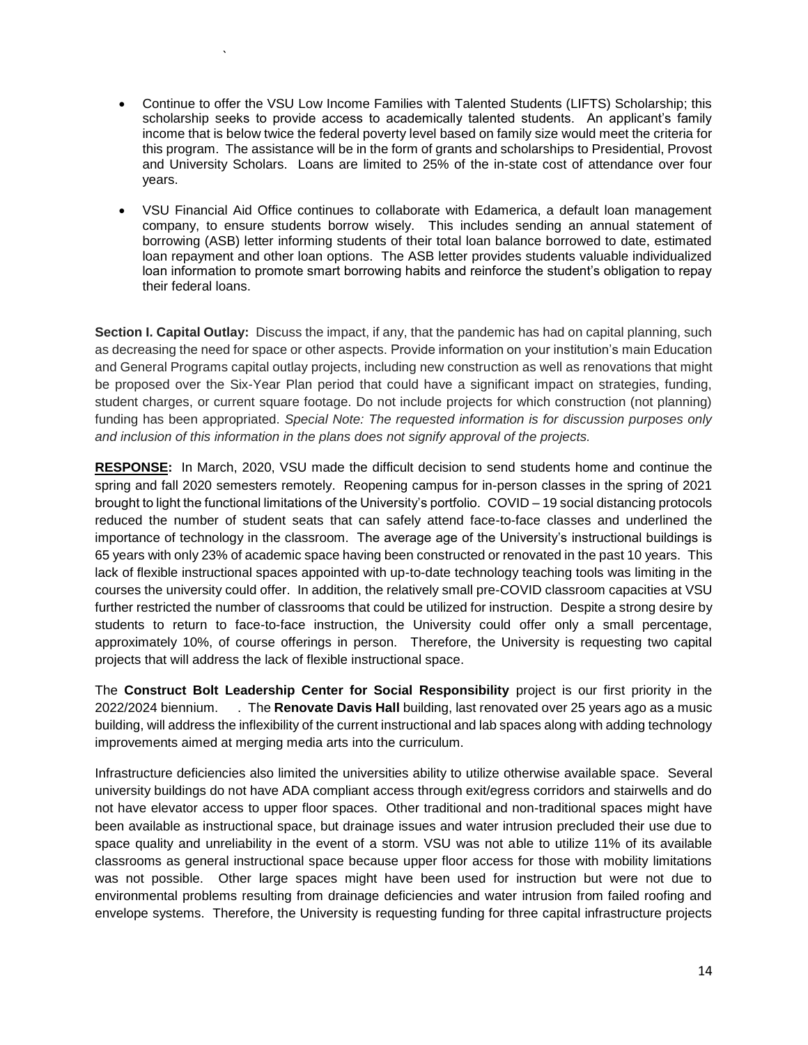Continue to offer the VSU Low Income Families with Talented Students (LIFTS) Scholarship; this scholarship seeks to provide access to academically talented students. An applicant's family income that is below twice the federal poverty level based on family size would meet the criteria for this program. The assistance will be in the form of grants and scholarships to Presidential, Provost and University Scholars. Loans are limited to 25% of the in-state cost of attendance over four years.

`

 VSU Financial Aid Office continues to collaborate with Edamerica, a default loan management company, to ensure students borrow wisely. This includes sending an annual statement of borrowing (ASB) letter informing students of their total loan balance borrowed to date, estimated loan repayment and other loan options. The ASB letter provides students valuable individualized loan information to promote smart borrowing habits and reinforce the student's obligation to repay their federal loans.

**Section I. Capital Outlay:** Discuss the impact, if any, that the pandemic has had on capital planning, such as decreasing the need for space or other aspects. Provide information on your institution's main Education and General Programs capital outlay projects, including new construction as well as renovations that might be proposed over the Six-Year Plan period that could have a significant impact on strategies, funding, student charges, or current square footage. Do not include projects for which construction (not planning) funding has been appropriated. *Special Note: The requested information is for discussion purposes only and inclusion of this information in the plans does not signify approval of the projects.* 

**RESPONSE:** In March, 2020, VSU made the difficult decision to send students home and continue the spring and fall 2020 semesters remotely. Reopening campus for in-person classes in the spring of 2021 brought to light the functional limitations of the University's portfolio. COVID – 19 social distancing protocols reduced the number of student seats that can safely attend face-to-face classes and underlined the importance of technology in the classroom. The average age of the University's instructional buildings is 65 years with only 23% of academic space having been constructed or renovated in the past 10 years. This lack of flexible instructional spaces appointed with up-to-date technology teaching tools was limiting in the courses the university could offer. In addition, the relatively small pre-COVID classroom capacities at VSU further restricted the number of classrooms that could be utilized for instruction. Despite a strong desire by students to return to face-to-face instruction, the University could offer only a small percentage, approximately 10%, of course offerings in person. Therefore, the University is requesting two capital projects that will address the lack of flexible instructional space.

The **Construct Bolt Leadership Center for Social Responsibility** project is our first priority in the 2022/2024 biennium. . The **Renovate Davis Hall** building, last renovated over 25 years ago as a music building, will address the inflexibility of the current instructional and lab spaces along with adding technology improvements aimed at merging media arts into the curriculum.

Infrastructure deficiencies also limited the universities ability to utilize otherwise available space. Several university buildings do not have ADA compliant access through exit/egress corridors and stairwells and do not have elevator access to upper floor spaces. Other traditional and non-traditional spaces might have been available as instructional space, but drainage issues and water intrusion precluded their use due to space quality and unreliability in the event of a storm. VSU was not able to utilize 11% of its available classrooms as general instructional space because upper floor access for those with mobility limitations was not possible. Other large spaces might have been used for instruction but were not due to environmental problems resulting from drainage deficiencies and water intrusion from failed roofing and envelope systems. Therefore, the University is requesting funding for three capital infrastructure projects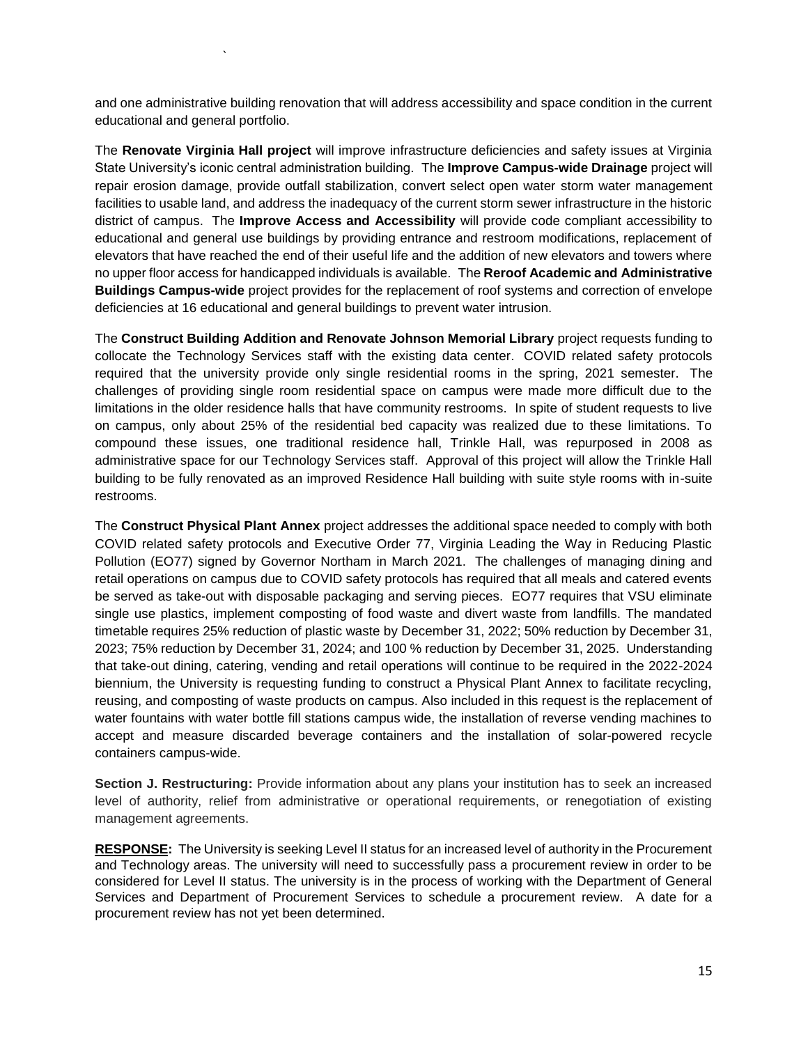and one administrative building renovation that will address accessibility and space condition in the current educational and general portfolio.

`

The **Renovate Virginia Hall project** will improve infrastructure deficiencies and safety issues at Virginia State University's iconic central administration building. The **Improve Campus-wide Drainage** project will repair erosion damage, provide outfall stabilization, convert select open water storm water management facilities to usable land, and address the inadequacy of the current storm sewer infrastructure in the historic district of campus. The **Improve Access and Accessibility** will provide code compliant accessibility to educational and general use buildings by providing entrance and restroom modifications, replacement of elevators that have reached the end of their useful life and the addition of new elevators and towers where no upper floor access for handicapped individuals is available. The **Reroof Academic and Administrative Buildings Campus-wide** project provides for the replacement of roof systems and correction of envelope deficiencies at 16 educational and general buildings to prevent water intrusion.

The **Construct Building Addition and Renovate Johnson Memorial Library** project requests funding to collocate the Technology Services staff with the existing data center. COVID related safety protocols required that the university provide only single residential rooms in the spring, 2021 semester. The challenges of providing single room residential space on campus were made more difficult due to the limitations in the older residence halls that have community restrooms. In spite of student requests to live on campus, only about 25% of the residential bed capacity was realized due to these limitations. To compound these issues, one traditional residence hall, Trinkle Hall, was repurposed in 2008 as administrative space for our Technology Services staff. Approval of this project will allow the Trinkle Hall building to be fully renovated as an improved Residence Hall building with suite style rooms with in-suite restrooms.

The **Construct Physical Plant Annex** project addresses the additional space needed to comply with both COVID related safety protocols and Executive Order 77, Virginia Leading the Way in Reducing Plastic Pollution (EO77) signed by Governor Northam in March 2021. The challenges of managing dining and retail operations on campus due to COVID safety protocols has required that all meals and catered events be served as take-out with disposable packaging and serving pieces. EO77 requires that VSU eliminate single use plastics, implement composting of food waste and divert waste from landfills. The mandated timetable requires 25% reduction of plastic waste by December 31, 2022; 50% reduction by December 31, 2023; 75% reduction by December 31, 2024; and 100 % reduction by December 31, 2025. Understanding that take-out dining, catering, vending and retail operations will continue to be required in the 2022-2024 biennium, the University is requesting funding to construct a Physical Plant Annex to facilitate recycling, reusing, and composting of waste products on campus. Also included in this request is the replacement of water fountains with water bottle fill stations campus wide, the installation of reverse vending machines to accept and measure discarded beverage containers and the installation of solar-powered recycle containers campus-wide.

**Section J. Restructuring:** Provide information about any plans your institution has to seek an increased level of authority, relief from administrative or operational requirements, or renegotiation of existing management agreements.

**RESPONSE:** The University is seeking Level II status for an increased level of authority in the Procurement and Technology areas. The university will need to successfully pass a procurement review in order to be considered for Level II status. The university is in the process of working with the Department of General Services and Department of Procurement Services to schedule a procurement review. A date for a procurement review has not yet been determined.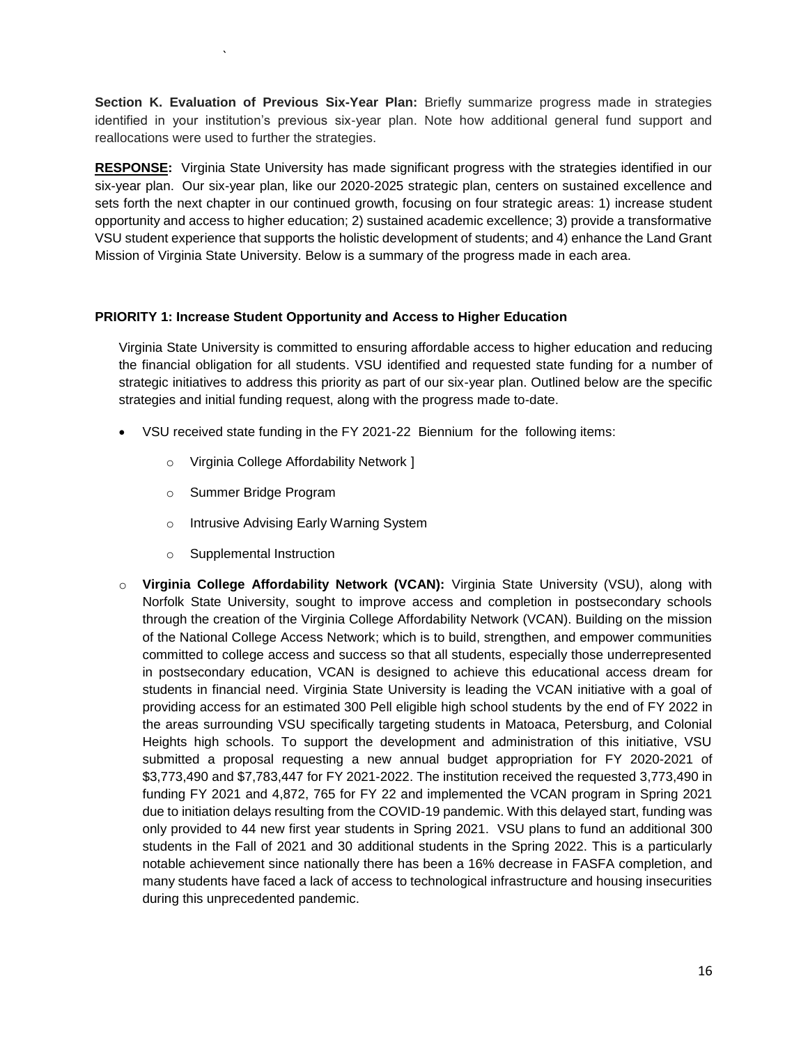**Section K. Evaluation of Previous Six-Year Plan:** Briefly summarize progress made in strategies identified in your institution's previous six-year plan. Note how additional general fund support and reallocations were used to further the strategies.

**RESPONSE:** Virginia State University has made significant progress with the strategies identified in our six-year plan. Our six-year plan, like our 2020-2025 strategic plan, centers on sustained excellence and sets forth the next chapter in our continued growth, focusing on four strategic areas: 1) increase student opportunity and access to higher education; 2) sustained academic excellence; 3) provide a transformative VSU student experience that supports the holistic development of students; and 4) enhance the Land Grant Mission of Virginia State University. Below is a summary of the progress made in each area.

#### **PRIORITY 1: Increase Student Opportunity and Access to Higher Education**

Virginia State University is committed to ensuring affordable access to higher education and reducing the financial obligation for all students. VSU identified and requested state funding for a number of strategic initiatives to address this priority as part of our six-year plan. Outlined below are the specific strategies and initial funding request, along with the progress made to-date.

- VSU received state funding in the FY 2021-22 Biennium for the following items:
	- o Virginia College Affordability Network ]
	- o Summer Bridge Program

`

- o Intrusive Advising Early Warning System
- o Supplemental Instruction
- o **Virginia College Affordability Network (VCAN):** Virginia State University (VSU), along with Norfolk State University, sought to improve access and completion in postsecondary schools through the creation of the Virginia College Affordability Network (VCAN). Building on the mission of the National College Access Network; which is to build, strengthen, and empower communities committed to college access and success so that all students, especially those underrepresented in postsecondary education, VCAN is designed to achieve this educational access dream for students in financial need. Virginia State University is leading the VCAN initiative with a goal of providing access for an estimated 300 Pell eligible high school students by the end of FY 2022 in the areas surrounding VSU specifically targeting students in Matoaca, Petersburg, and Colonial Heights high schools. To support the development and administration of this initiative, VSU submitted a proposal requesting a new annual budget appropriation for FY 2020-2021 of \$3,773,490 and \$7,783,447 for FY 2021-2022. The institution received the requested 3,773,490 in funding FY 2021 and 4,872, 765 for FY 22 and implemented the VCAN program in Spring 2021 due to initiation delays resulting from the COVID-19 pandemic. With this delayed start, funding was only provided to 44 new first year students in Spring 2021. VSU plans to fund an additional 300 students in the Fall of 2021 and 30 additional students in the Spring 2022. This is a particularly notable achievement since nationally there has been a 16% decrease in FASFA completion, and many students have faced a lack of access to technological infrastructure and housing insecurities during this unprecedented pandemic.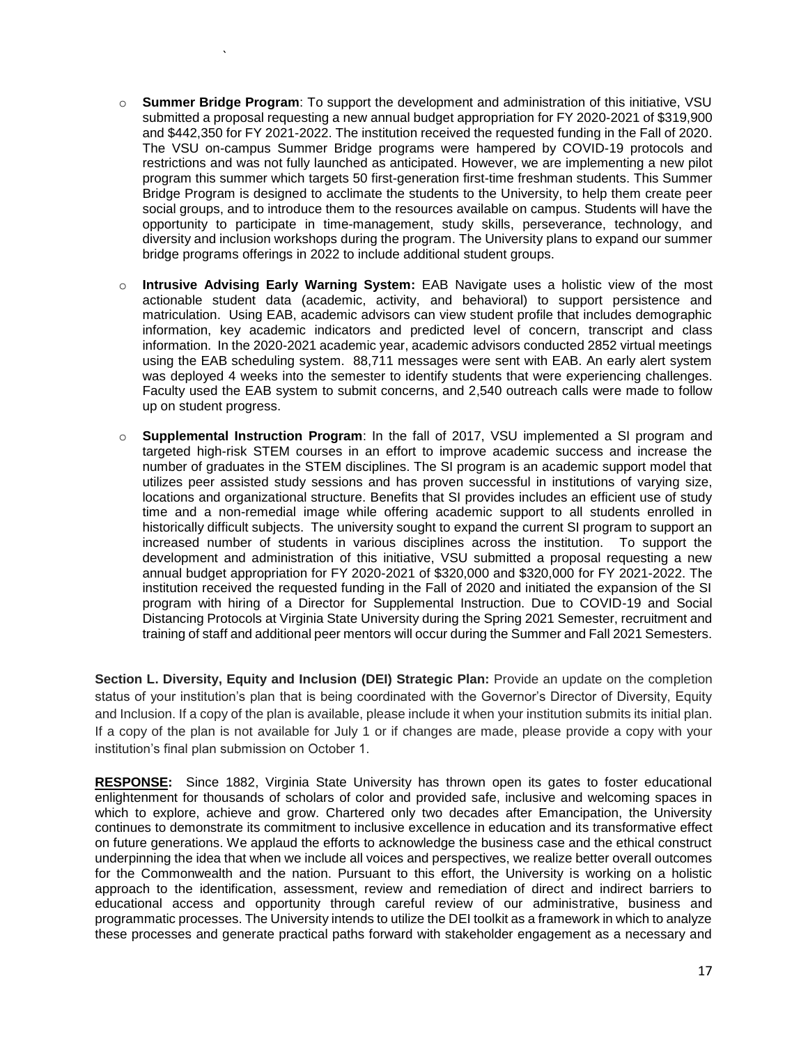o **Summer Bridge Program**: To support the development and administration of this initiative, VSU submitted a proposal requesting a new annual budget appropriation for FY 2020-2021 of \$319,900 and \$442,350 for FY 2021-2022. The institution received the requested funding in the Fall of 2020. The VSU on-campus Summer Bridge programs were hampered by COVID-19 protocols and restrictions and was not fully launched as anticipated. However, we are implementing a new pilot program this summer which targets 50 first-generation first-time freshman students. This Summer Bridge Program is designed to acclimate the students to the University, to help them create peer social groups, and to introduce them to the resources available on campus. Students will have the opportunity to participate in time-management, study skills, perseverance, technology, and diversity and inclusion workshops during the program. The University plans to expand our summer bridge programs offerings in 2022 to include additional student groups.

`

- o **Intrusive Advising Early Warning System:** EAB Navigate uses a holistic view of the most actionable student data (academic, activity, and behavioral) to support persistence and matriculation. Using EAB, academic advisors can view student profile that includes demographic information, key academic indicators and predicted level of concern, transcript and class information. In the 2020-2021 academic year, academic advisors conducted 2852 virtual meetings using the EAB scheduling system. 88,711 messages were sent with EAB. An early alert system was deployed 4 weeks into the semester to identify students that were experiencing challenges. Faculty used the EAB system to submit concerns, and 2,540 outreach calls were made to follow up on student progress.
- o **Supplemental Instruction Program**: In the fall of 2017, VSU implemented a SI program and targeted high-risk STEM courses in an effort to improve academic success and increase the number of graduates in the STEM disciplines. The SI program is an academic support model that utilizes peer assisted study sessions and has proven successful in institutions of varying size, locations and organizational structure. Benefits that SI provides includes an efficient use of study time and a non-remedial image while offering academic support to all students enrolled in historically difficult subjects. The university sought to expand the current SI program to support an increased number of students in various disciplines across the institution. To support the development and administration of this initiative, VSU submitted a proposal requesting a new annual budget appropriation for FY 2020-2021 of \$320,000 and \$320,000 for FY 2021-2022. The institution received the requested funding in the Fall of 2020 and initiated the expansion of the SI program with hiring of a Director for Supplemental Instruction. Due to COVID-19 and Social Distancing Protocols at Virginia State University during the Spring 2021 Semester, recruitment and training of staff and additional peer mentors will occur during the Summer and Fall 2021 Semesters.

**Section L. Diversity, Equity and Inclusion (DEI) Strategic Plan:** Provide an update on the completion status of your institution's plan that is being coordinated with the Governor's Director of Diversity, Equity and Inclusion. If a copy of the plan is available, please include it when your institution submits its initial plan. If a copy of the plan is not available for July 1 or if changes are made, please provide a copy with your institution's final plan submission on October 1.

**RESPONSE:** Since 1882, Virginia State University has thrown open its gates to foster educational enlightenment for thousands of scholars of color and provided safe, inclusive and welcoming spaces in which to explore, achieve and grow. Chartered only two decades after Emancipation, the University continues to demonstrate its commitment to inclusive excellence in education and its transformative effect on future generations. We applaud the efforts to acknowledge the business case and the ethical construct underpinning the idea that when we include all voices and perspectives, we realize better overall outcomes for the Commonwealth and the nation. Pursuant to this effort, the University is working on a holistic approach to the identification, assessment, review and remediation of direct and indirect barriers to educational access and opportunity through careful review of our administrative, business and programmatic processes. The University intends to utilize the DEI toolkit as a framework in which to analyze these processes and generate practical paths forward with stakeholder engagement as a necessary and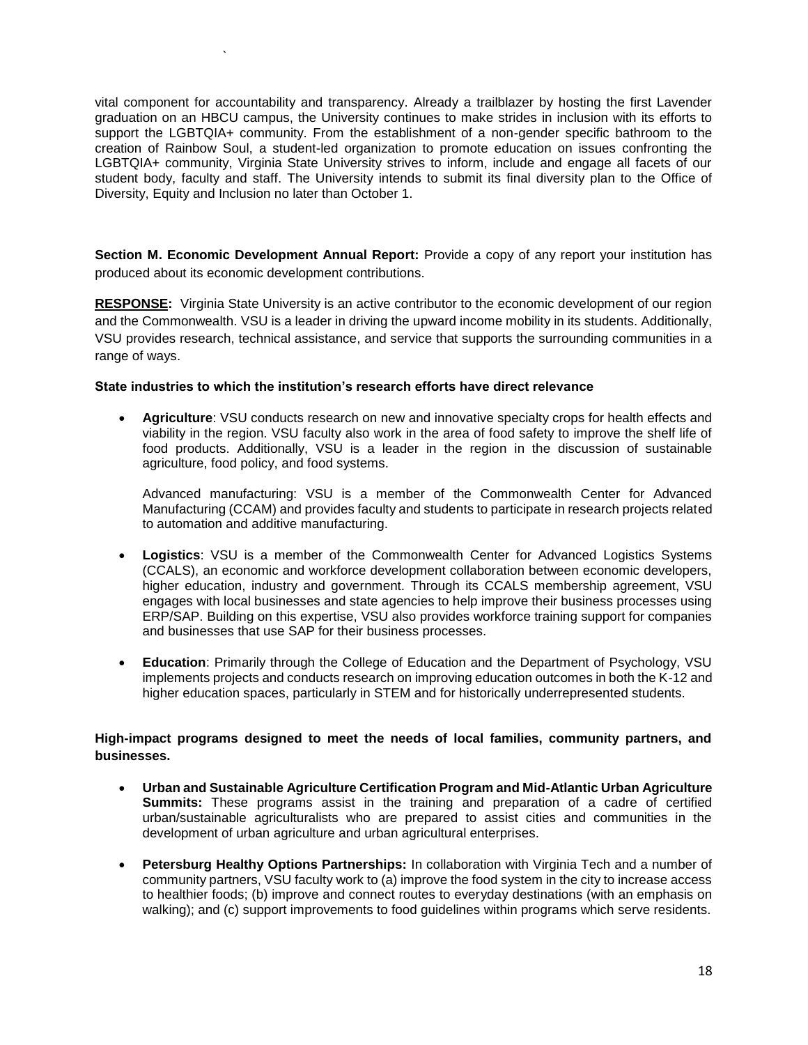vital component for accountability and transparency. Already a trailblazer by hosting the first Lavender graduation on an HBCU campus, the University continues to make strides in inclusion with its efforts to support the LGBTQIA+ community. From the establishment of a non-gender specific bathroom to the creation of Rainbow Soul, a student-led organization to promote education on issues confronting the LGBTQIA+ community, Virginia State University strives to inform, include and engage all facets of our student body, faculty and staff. The University intends to submit its final diversity plan to the Office of Diversity, Equity and Inclusion no later than October 1.

**Section M. Economic Development Annual Report:** Provide a copy of any report your institution has produced about its economic development contributions.

**RESPONSE:** Virginia State University is an active contributor to the economic development of our region and the Commonwealth. VSU is a leader in driving the upward income mobility in its students. Additionally, VSU provides research, technical assistance, and service that supports the surrounding communities in a range of ways.

#### **State industries to which the institution's research efforts have direct relevance**

`

 **Agriculture**: VSU conducts research on new and innovative specialty crops for health effects and viability in the region. VSU faculty also work in the area of food safety to improve the shelf life of food products. Additionally, VSU is a leader in the region in the discussion of sustainable agriculture, food policy, and food systems.

Advanced manufacturing: VSU is a member of the Commonwealth Center for Advanced Manufacturing (CCAM) and provides faculty and students to participate in research projects related to automation and additive manufacturing.

- **Logistics**: VSU is a member of the Commonwealth Center for Advanced Logistics Systems (CCALS), an economic and workforce development collaboration between economic developers, higher education, industry and government. Through its CCALS membership agreement, VSU engages with local businesses and state agencies to help improve their business processes using ERP/SAP. Building on this expertise, VSU also provides workforce training support for companies and businesses that use SAP for their business processes.
- **Education**: Primarily through the College of Education and the Department of Psychology, VSU implements projects and conducts research on improving education outcomes in both the K-12 and higher education spaces, particularly in STEM and for historically underrepresented students.

#### **High-impact programs designed to meet the needs of local families, community partners, and businesses.**

- **Urban and Sustainable Agriculture Certification Program and Mid-Atlantic Urban Agriculture Summits:** These programs assist in the training and preparation of a cadre of certified urban/sustainable agriculturalists who are prepared to assist cities and communities in the development of urban agriculture and urban agricultural enterprises.
- **Petersburg Healthy Options Partnerships:** In collaboration with Virginia Tech and a number of community partners, VSU faculty work to (a) improve the food system in the city to increase access to healthier foods; (b) improve and connect routes to everyday destinations (with an emphasis on walking); and (c) support improvements to food guidelines within programs which serve residents.